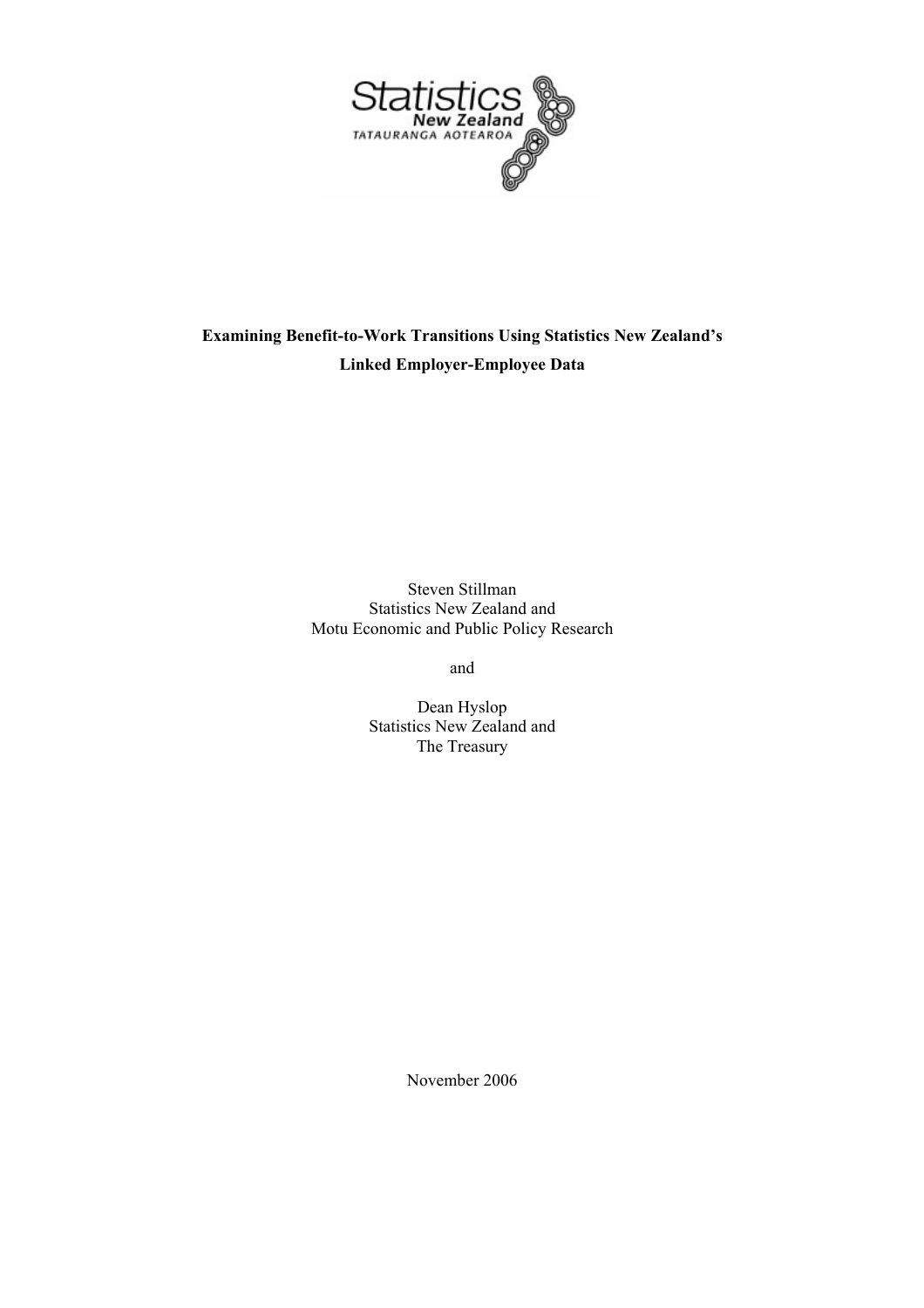

# **Examining Benefit-to-Work Transitions Using Statistics New Zealand's Linked Employer-Employee Data**

Steven Stillman Statistics New Zealand and Motu Economic and Public Policy Research

and

Dean Hyslop Statistics New Zealand and The Treasury

November 2006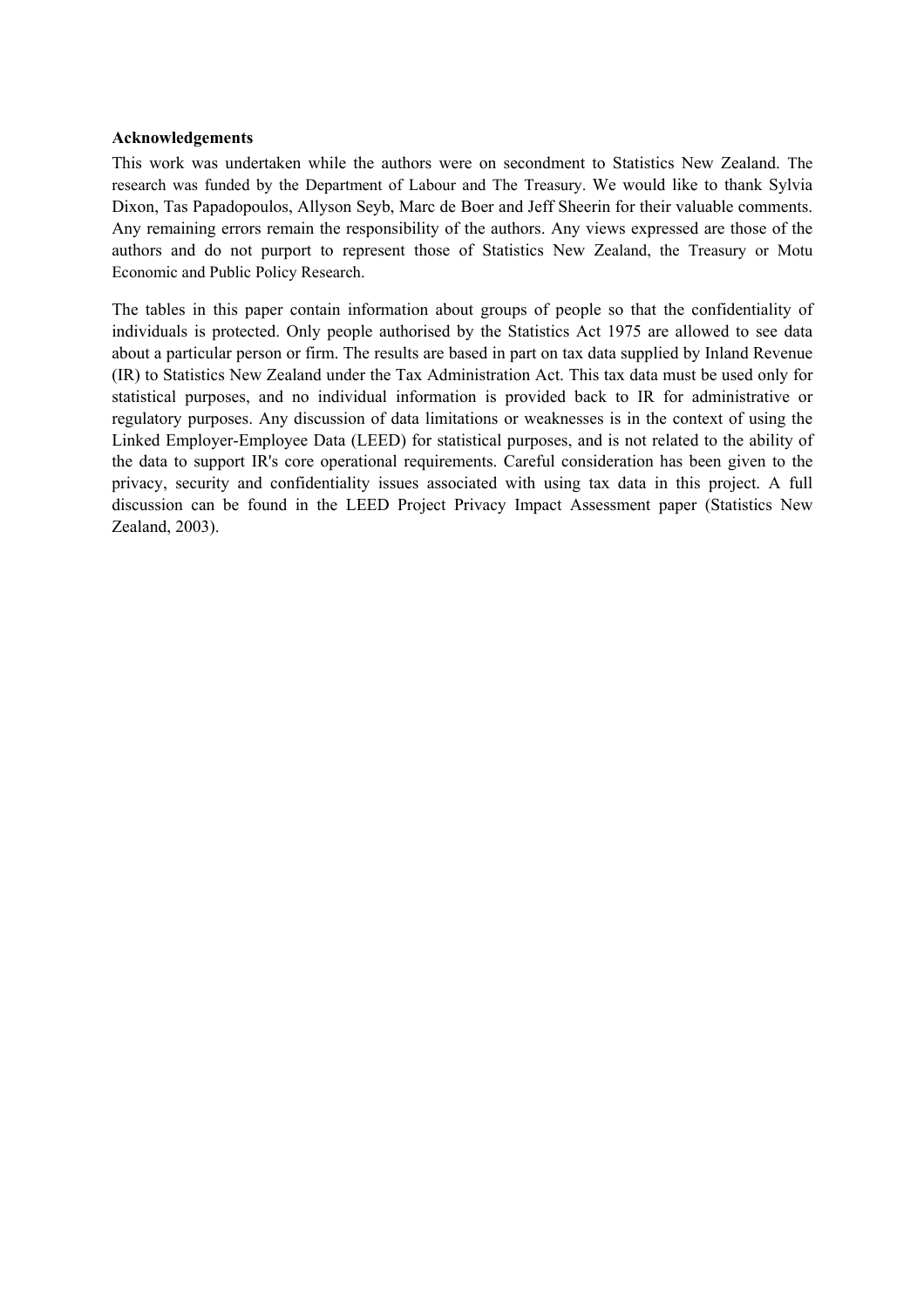## **Acknowledgements**

This work was undertaken while the authors were on secondment to Statistics New Zealand. The research was funded by the Department of Labour and The Treasury. We would like to thank Sylvia Dixon, Tas Papadopoulos, Allyson Seyb, Marc de Boer and Jeff Sheerin for their valuable comments. Any remaining errors remain the responsibility of the authors. Any views expressed are those of the authors and do not purport to represent those of Statistics New Zealand, the Treasury or Motu Economic and Public Policy Research.

The tables in this paper contain information about groups of people so that the confidentiality of individuals is protected. Only people authorised by the Statistics Act 1975 are allowed to see data about a particular person or firm. The results are based in part on tax data supplied by Inland Revenue (IR) to Statistics New Zealand under the Tax Administration Act. This tax data must be used only for statistical purposes, and no individual information is provided back to IR for administrative or regulatory purposes. Any discussion of data limitations or weaknesses is in the context of using the Linked Employer-Employee Data (LEED) for statistical purposes, and is not related to the ability of the data to support IR's core operational requirements. Careful consideration has been given to the privacy, security and confidentiality issues associated with using tax data in this project. A full discussion can be found in the LEED Project Privacy Impact Assessment paper (Statistics New Zealand, 2003).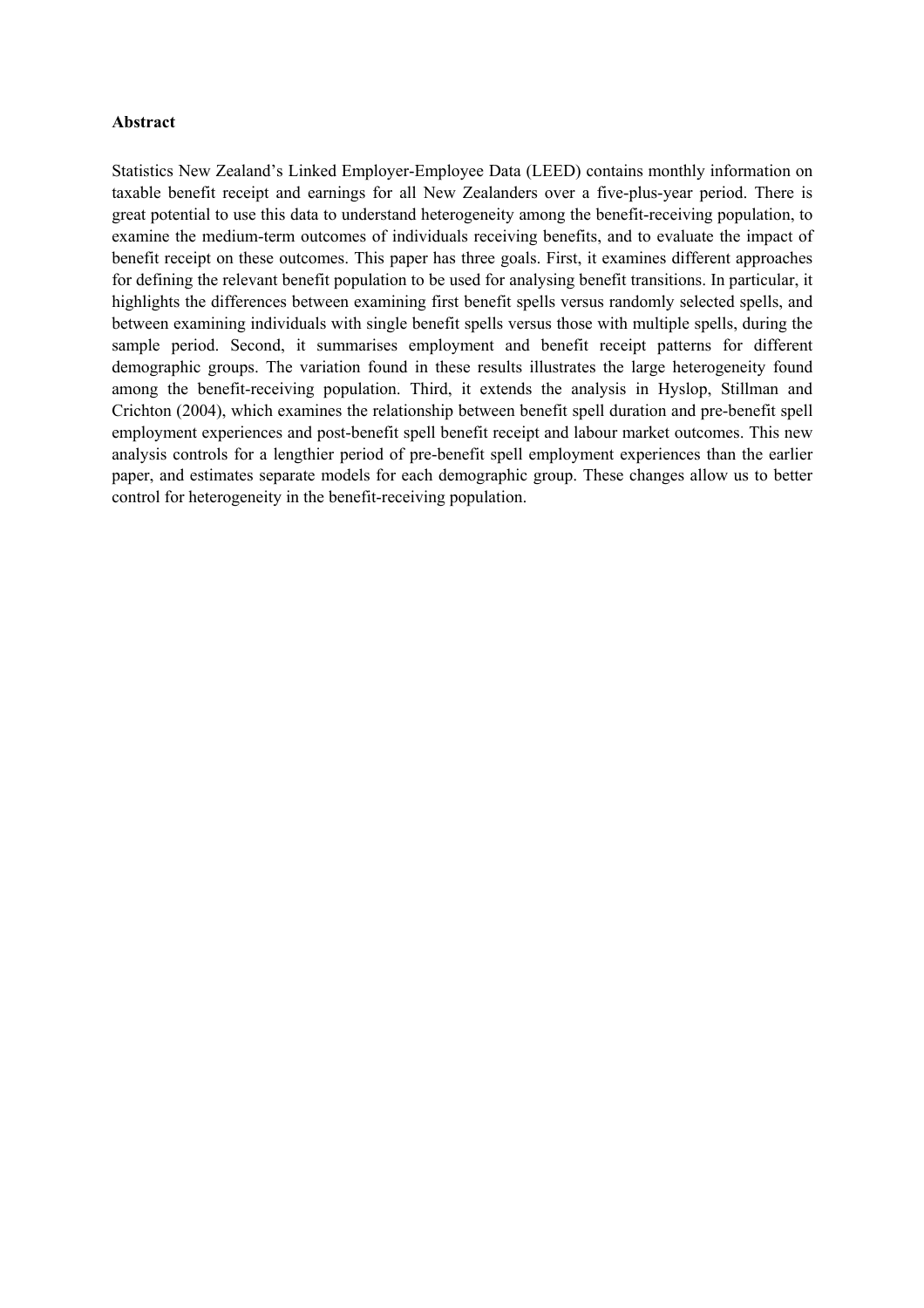## **Abstract**

Statistics New Zealand's Linked Employer-Employee Data (LEED) contains monthly information on taxable benefit receipt and earnings for all New Zealanders over a five-plus-year period. There is great potential to use this data to understand heterogeneity among the benefit-receiving population, to examine the medium-term outcomes of individuals receiving benefits, and to evaluate the impact of benefit receipt on these outcomes. This paper has three goals. First, it examines different approaches for defining the relevant benefit population to be used for analysing benefit transitions. In particular, it highlights the differences between examining first benefit spells versus randomly selected spells, and between examining individuals with single benefit spells versus those with multiple spells, during the sample period. Second, it summarises employment and benefit receipt patterns for different demographic groups. The variation found in these results illustrates the large heterogeneity found among the benefit-receiving population. Third, it extends the analysis in Hyslop, Stillman and Crichton (2004), which examines the relationship between benefit spell duration and pre-benefit spell employment experiences and post-benefit spell benefit receipt and labour market outcomes. This new analysis controls for a lengthier period of pre-benefit spell employment experiences than the earlier paper, and estimates separate models for each demographic group. These changes allow us to better control for heterogeneity in the benefit-receiving population.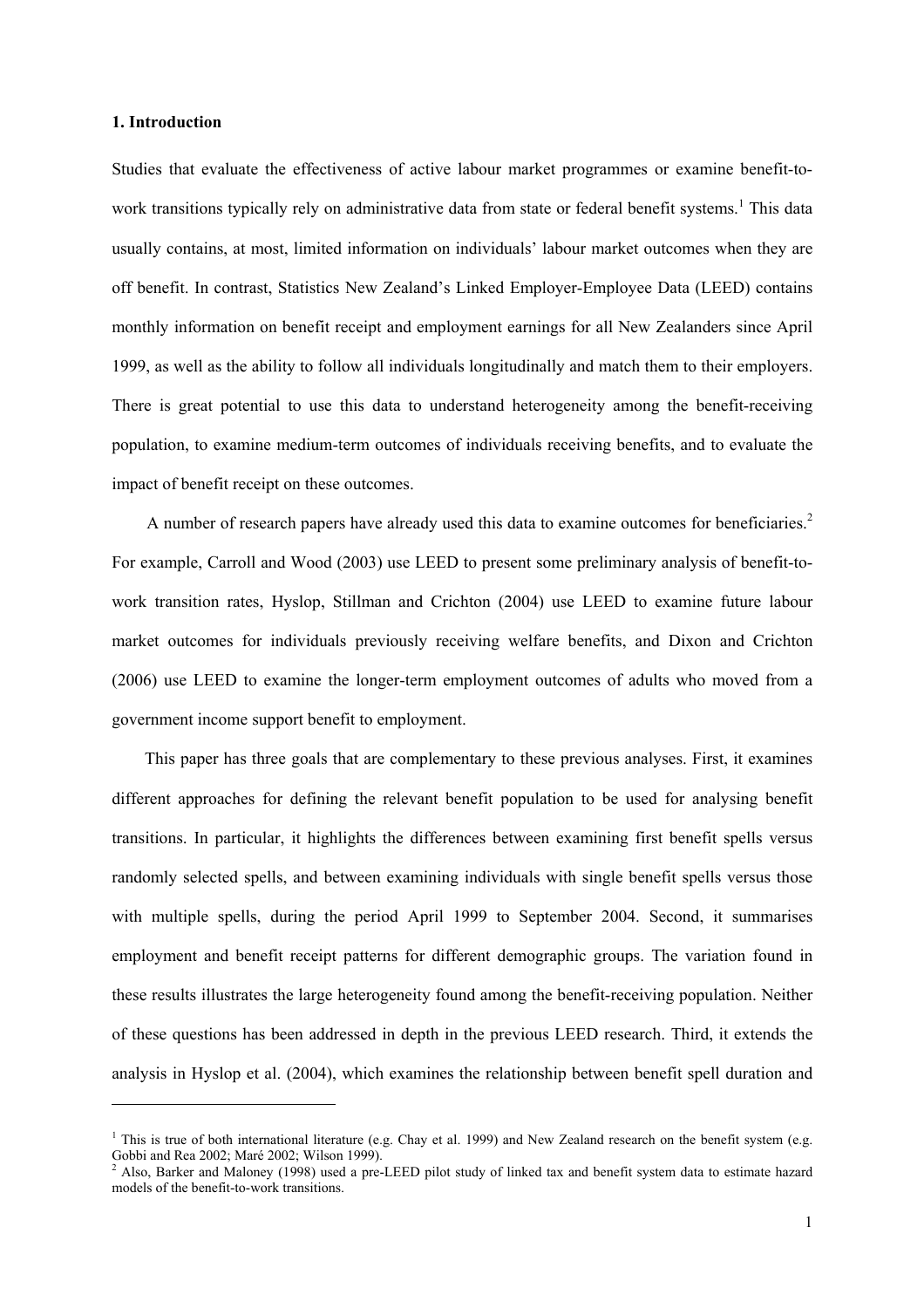#### **1. Introduction**

l

Studies that evaluate the effectiveness of active labour market programmes or examine benefit-towork transitions typically rely on administrative data from state or federal benefit systems.<sup>1</sup> This data usually contains, at most, limited information on individuals' labour market outcomes when they are off benefit. In contrast, Statistics New Zealand's Linked Employer-Employee Data (LEED) contains monthly information on benefit receipt and employment earnings for all New Zealanders since April 1999, as well as the ability to follow all individuals longitudinally and match them to their employers. There is great potential to use this data to understand heterogeneity among the benefit-receiving population, to examine medium-term outcomes of individuals receiving benefits, and to evaluate the impact of benefit receipt on these outcomes.

A number of research papers have already used this data to examine outcomes for beneficiaries.<sup>2</sup> For example, Carroll and Wood (2003) use LEED to present some preliminary analysis of benefit-towork transition rates, Hyslop, Stillman and Crichton (2004) use LEED to examine future labour market outcomes for individuals previously receiving welfare benefits, and Dixon and Crichton (2006) use LEED to examine the longer-term employment outcomes of adults who moved from a government income support benefit to employment.

This paper has three goals that are complementary to these previous analyses. First, it examines different approaches for defining the relevant benefit population to be used for analysing benefit transitions. In particular, it highlights the differences between examining first benefit spells versus randomly selected spells, and between examining individuals with single benefit spells versus those with multiple spells, during the period April 1999 to September 2004. Second, it summarises employment and benefit receipt patterns for different demographic groups. The variation found in these results illustrates the large heterogeneity found among the benefit-receiving population. Neither of these questions has been addressed in depth in the previous LEED research. Third, it extends the analysis in Hyslop et al. (2004), which examines the relationship between benefit spell duration and

<sup>&</sup>lt;sup>1</sup> This is true of both international literature (e.g. Chay et al. 1999) and New Zealand research on the benefit system (e.g. Gobbi and Rea 2002; Maré 2002; Wilson 1999).

<sup>&</sup>lt;sup>2</sup> Also, Barker and Maloney (1998) used a pre-LEED pilot study of linked tax and benefit system data to estimate hazard models of the benefit-to-work transitions.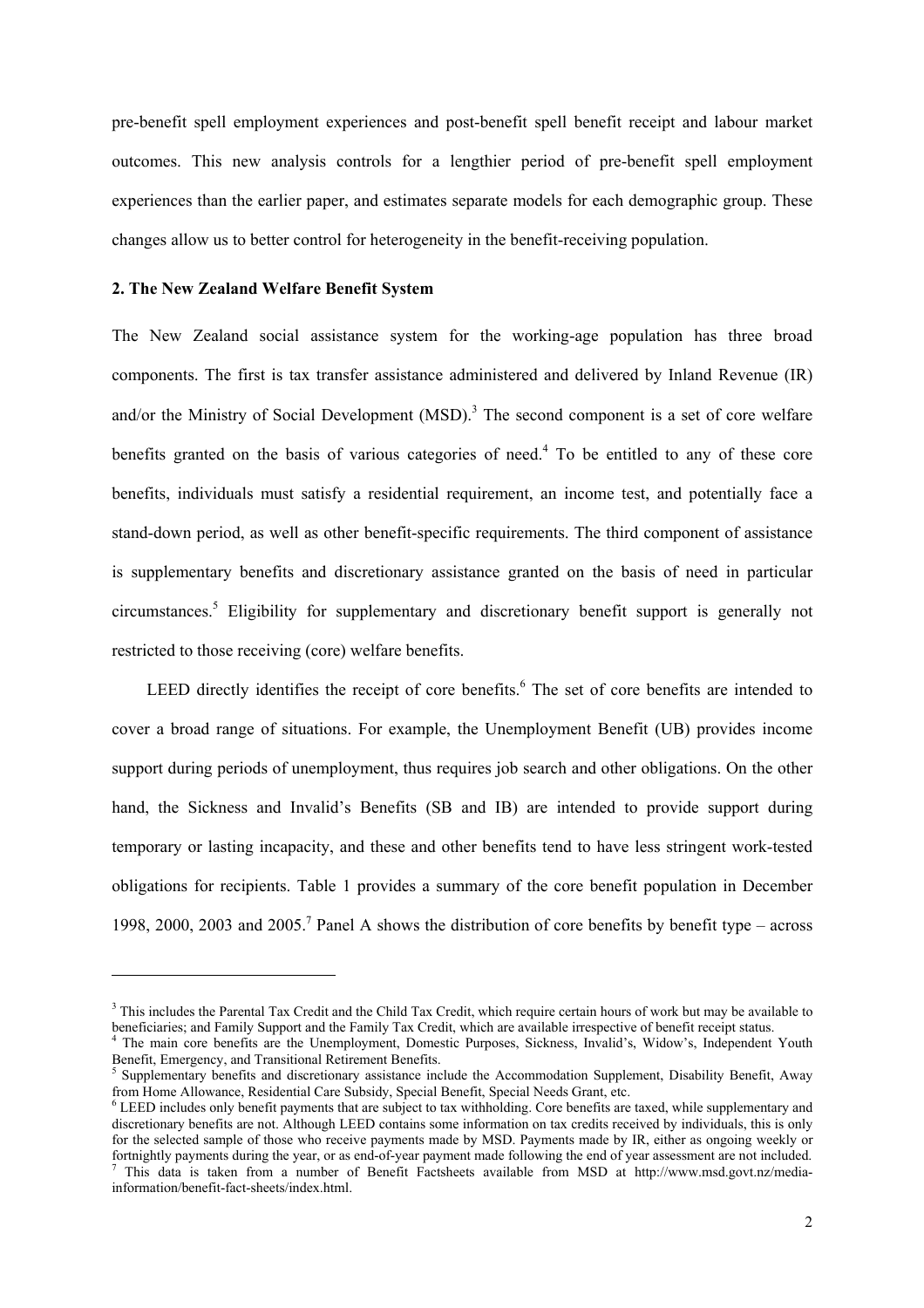pre-benefit spell employment experiences and post-benefit spell benefit receipt and labour market outcomes. This new analysis controls for a lengthier period of pre-benefit spell employment experiences than the earlier paper, and estimates separate models for each demographic group. These changes allow us to better control for heterogeneity in the benefit-receiving population.

## **2. The New Zealand Welfare Benefit System**

l

The New Zealand social assistance system for the working-age population has three broad components. The first is tax transfer assistance administered and delivered by Inland Revenue (IR) and/or the Ministry of Social Development  $(MSD)$ .<sup>3</sup> The second component is a set of core welfare benefits granted on the basis of various categories of need.<sup>4</sup> To be entitled to any of these core benefits, individuals must satisfy a residential requirement, an income test, and potentially face a stand-down period, as well as other benefit-specific requirements. The third component of assistance is supplementary benefits and discretionary assistance granted on the basis of need in particular circumstances.<sup>5</sup> Eligibility for supplementary and discretionary benefit support is generally not restricted to those receiving (core) welfare benefits.

LEED directly identifies the receipt of core benefits.<sup>6</sup> The set of core benefits are intended to cover a broad range of situations. For example, the Unemployment Benefit (UB) provides income support during periods of unemployment, thus requires job search and other obligations. On the other hand, the Sickness and Invalid's Benefits (SB and IB) are intended to provide support during temporary or lasting incapacity, and these and other benefits tend to have less stringent work-tested obligations for recipients. Table 1 provides a summary of the core benefit population in December 1998, 2000, 2003 and 2005.<sup>7</sup> Panel A shows the distribution of core benefits by benefit type – across

<sup>&</sup>lt;sup>3</sup> This includes the Parental Tax Credit and the Child Tax Credit, which require certain hours of work but may be available to beneficiaries; and Family Support and the Family Tax Credit, which are available irrespective of benefit receipt status.

The main core benefits are the Unemployment, Domestic Purposes, Sickness, Invalid's, Widow's, Independent Youth Benefit, Emergency, and Transitional Retirement Benefits.

Supplementary benefits and discretionary assistance include the Accommodation Supplement, Disability Benefit, Away from Home Allowance, Residential Care Subsidy, Special Benefit, Special Needs Grant, etc. 6

LEED includes only benefit payments that are subject to tax withholding. Core benefits are taxed, while supplementary and discretionary benefits are not. Although LEED contains some information on tax credits received by individuals, this is only for the selected sample of those who receive payments made by MSD. Payments made by IR, either as ongoing weekly or fortnightly payments during the year, or as end-of-year payment made following the end of year assessment are not included. This data is taken from a number of Benefit Factsheets available from MSD at http://www.msd.govt.nz/media-

information/benefit-fact-sheets/index.html.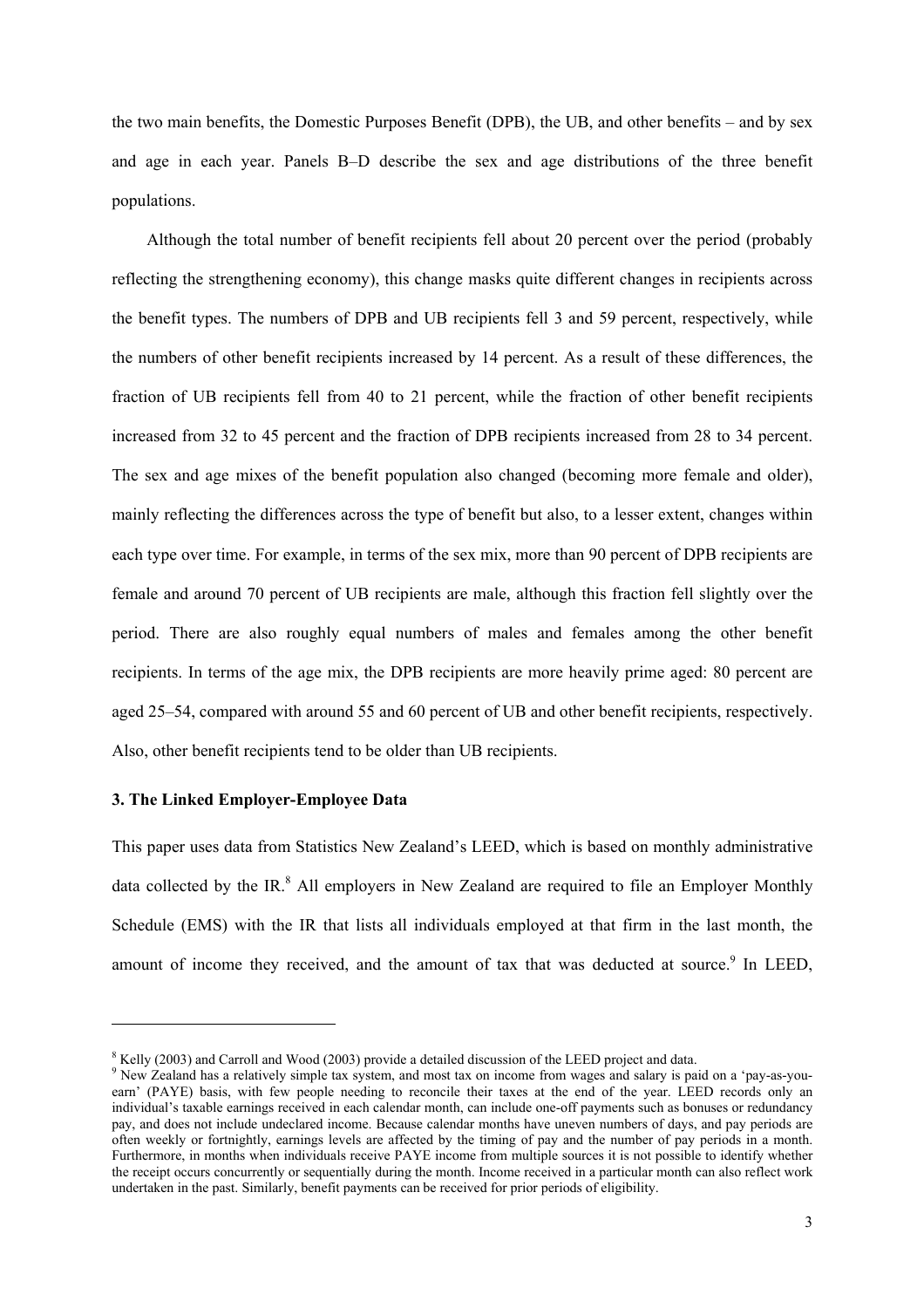the two main benefits, the Domestic Purposes Benefit (DPB), the UB, and other benefits – and by sex and age in each year. Panels B–D describe the sex and age distributions of the three benefit populations.

Although the total number of benefit recipients fell about 20 percent over the period (probably reflecting the strengthening economy), this change masks quite different changes in recipients across the benefit types. The numbers of DPB and UB recipients fell 3 and 59 percent, respectively, while the numbers of other benefit recipients increased by 14 percent. As a result of these differences, the fraction of UB recipients fell from 40 to 21 percent, while the fraction of other benefit recipients increased from 32 to 45 percent and the fraction of DPB recipients increased from 28 to 34 percent. The sex and age mixes of the benefit population also changed (becoming more female and older), mainly reflecting the differences across the type of benefit but also, to a lesser extent, changes within each type over time. For example, in terms of the sex mix, more than 90 percent of DPB recipients are female and around 70 percent of UB recipients are male, although this fraction fell slightly over the period. There are also roughly equal numbers of males and females among the other benefit recipients. In terms of the age mix, the DPB recipients are more heavily prime aged: 80 percent are aged 25–54, compared with around 55 and 60 percent of UB and other benefit recipients, respectively. Also, other benefit recipients tend to be older than UB recipients.

# **3. The Linked Employer-Employee Data**

l

This paper uses data from Statistics New Zealand's LEED, which is based on monthly administrative data collected by the IR.<sup>8</sup> All employers in New Zealand are required to file an Employer Monthly Schedule (EMS) with the IR that lists all individuals employed at that firm in the last month, the amount of income they received, and the amount of tax that was deducted at source.<sup>9</sup> In LEED,

 $\frac{8}{2}$  Kelly (2003) and Carroll and Wood (2003) provide a detailed discussion of the LEED project and data.

<sup>&</sup>lt;sup>9</sup> New Zealand has a relatively simple tax system, and most tax on income from wages and salary is paid on a 'pay-as-youearn' (PAYE) basis, with few people needing to reconcile their taxes at the end of the year. LEED records only an individual's taxable earnings received in each calendar month, can include one-off payments such as bonuses or redundancy pay, and does not include undeclared income. Because calendar months have uneven numbers of days, and pay periods are often weekly or fortnightly, earnings levels are affected by the timing of pay and the number of pay periods in a month. Furthermore, in months when individuals receive PAYE income from multiple sources it is not possible to identify whether the receipt occurs concurrently or sequentially during the month. Income received in a particular month can also reflect work undertaken in the past. Similarly, benefit payments can be received for prior periods of eligibility.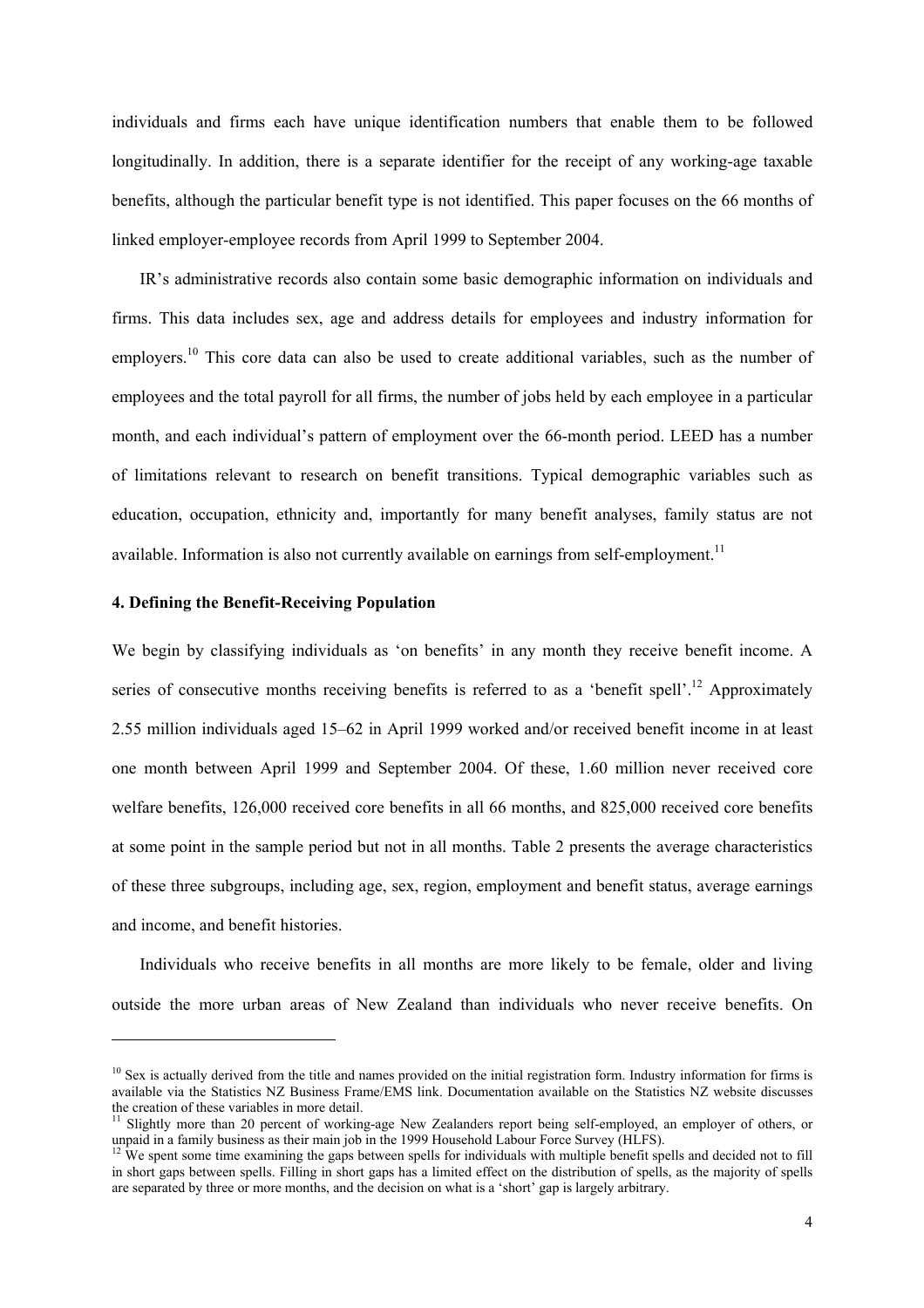individuals and firms each have unique identification numbers that enable them to be followed longitudinally. In addition, there is a separate identifier for the receipt of any working-age taxable benefits, although the particular benefit type is not identified. This paper focuses on the 66 months of linked employer-employee records from April 1999 to September 2004.

IR's administrative records also contain some basic demographic information on individuals and firms. This data includes sex, age and address details for employees and industry information for employers.<sup>10</sup> This core data can also be used to create additional variables, such as the number of employees and the total payroll for all firms, the number of jobs held by each employee in a particular month, and each individual's pattern of employment over the 66-month period. LEED has a number of limitations relevant to research on benefit transitions. Typical demographic variables such as education, occupation, ethnicity and, importantly for many benefit analyses, family status are not available. Information is also not currently available on earnings from self-employment.<sup>11</sup>

## **4. Defining the Benefit-Receiving Population**

l

We begin by classifying individuals as 'on benefits' in any month they receive benefit income. A series of consecutive months receiving benefits is referred to as a 'benefit spell'.<sup>12</sup> Approximately 2.55 million individuals aged 15–62 in April 1999 worked and/or received benefit income in at least one month between April 1999 and September 2004. Of these, 1.60 million never received core welfare benefits, 126,000 received core benefits in all 66 months, and 825,000 received core benefits at some point in the sample period but not in all months. Table 2 presents the average characteristics of these three subgroups, including age, sex, region, employment and benefit status, average earnings and income, and benefit histories.

Individuals who receive benefits in all months are more likely to be female, older and living outside the more urban areas of New Zealand than individuals who never receive benefits. On

 $10$  Sex is actually derived from the title and names provided on the initial registration form. Industry information for firms is available via the Statistics NZ Business Frame/EMS link. Documentation available on the Statistics NZ website discusses the creation of these variables in more detail.

<sup>&</sup>lt;sup>11</sup> Slightly more than 20 percent of working-age New Zealanders report being self-employed, an employer of others, or unpaid in a family business as their main job in the 1999 Household Labour Force Survey (HLFS).<br><sup>12</sup> We spent some time examining the gaps between spells for individuals with multiple benefit spells and decided not to fill

in short gaps between spells. Filling in short gaps has a limited effect on the distribution of spells, as the majority of spells are separated by three or more months, and the decision on what is a 'short' gap is largely arbitrary.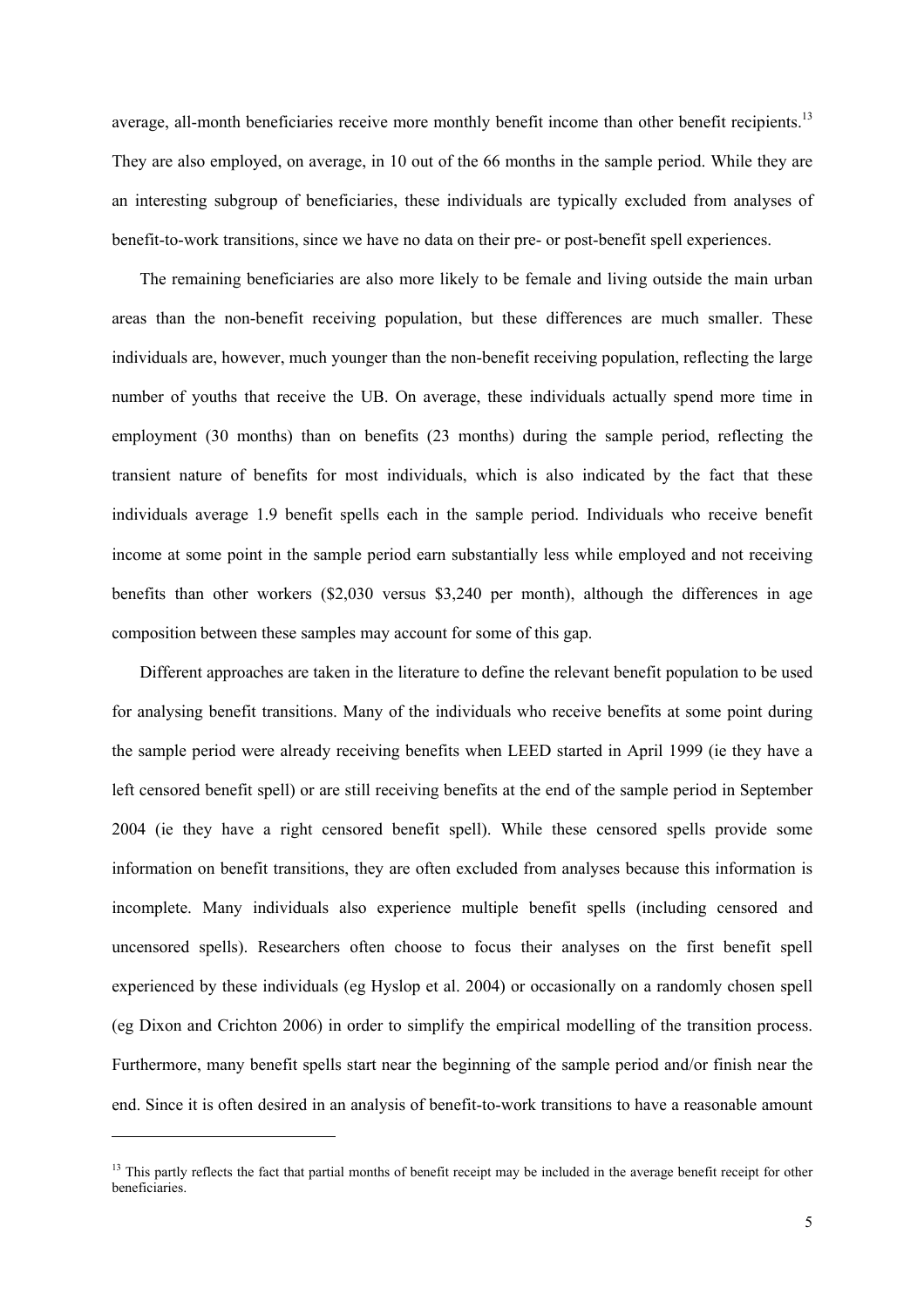average, all-month beneficiaries receive more monthly benefit income than other benefit recipients.<sup>13</sup> They are also employed, on average, in 10 out of the 66 months in the sample period. While they are an interesting subgroup of beneficiaries, these individuals are typically excluded from analyses of benefit-to-work transitions, since we have no data on their pre- or post-benefit spell experiences.

The remaining beneficiaries are also more likely to be female and living outside the main urban areas than the non-benefit receiving population, but these differences are much smaller. These individuals are, however, much younger than the non-benefit receiving population, reflecting the large number of youths that receive the UB. On average, these individuals actually spend more time in employment (30 months) than on benefits (23 months) during the sample period, reflecting the transient nature of benefits for most individuals, which is also indicated by the fact that these individuals average 1.9 benefit spells each in the sample period. Individuals who receive benefit income at some point in the sample period earn substantially less while employed and not receiving benefits than other workers (\$2,030 versus \$3,240 per month), although the differences in age composition between these samples may account for some of this gap.

Different approaches are taken in the literature to define the relevant benefit population to be used for analysing benefit transitions. Many of the individuals who receive benefits at some point during the sample period were already receiving benefits when LEED started in April 1999 (ie they have a left censored benefit spell) or are still receiving benefits at the end of the sample period in September 2004 (ie they have a right censored benefit spell). While these censored spells provide some information on benefit transitions, they are often excluded from analyses because this information is incomplete. Many individuals also experience multiple benefit spells (including censored and uncensored spells). Researchers often choose to focus their analyses on the first benefit spell experienced by these individuals (eg Hyslop et al. 2004) or occasionally on a randomly chosen spell (eg Dixon and Crichton 2006) in order to simplify the empirical modelling of the transition process. Furthermore, many benefit spells start near the beginning of the sample period and/or finish near the end. Since it is often desired in an analysis of benefit-to-work transitions to have a reasonable amount

 $\overline{\phantom{a}}$ 

<sup>&</sup>lt;sup>13</sup> This partly reflects the fact that partial months of benefit receipt may be included in the average benefit receipt for other beneficiaries.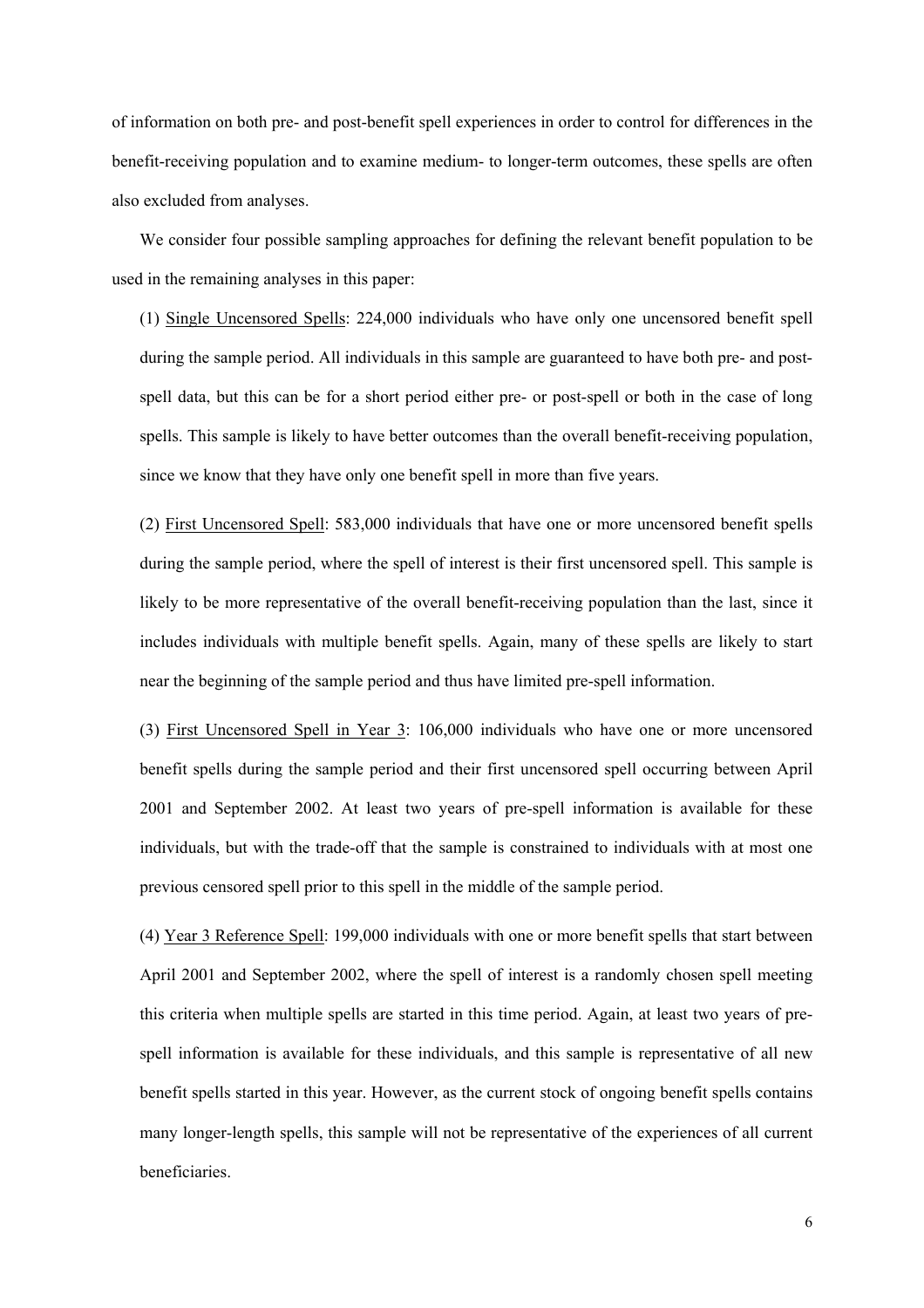of information on both pre- and post-benefit spell experiences in order to control for differences in the benefit-receiving population and to examine medium- to longer-term outcomes, these spells are often also excluded from analyses.

We consider four possible sampling approaches for defining the relevant benefit population to be used in the remaining analyses in this paper:

(1) Single Uncensored Spells: 224,000 individuals who have only one uncensored benefit spell during the sample period. All individuals in this sample are guaranteed to have both pre- and postspell data, but this can be for a short period either pre- or post-spell or both in the case of long spells. This sample is likely to have better outcomes than the overall benefit-receiving population, since we know that they have only one benefit spell in more than five years.

(2) First Uncensored Spell: 583,000 individuals that have one or more uncensored benefit spells during the sample period, where the spell of interest is their first uncensored spell. This sample is likely to be more representative of the overall benefit-receiving population than the last, since it includes individuals with multiple benefit spells. Again, many of these spells are likely to start near the beginning of the sample period and thus have limited pre-spell information.

(3) First Uncensored Spell in Year 3: 106,000 individuals who have one or more uncensored benefit spells during the sample period and their first uncensored spell occurring between April 2001 and September 2002. At least two years of pre-spell information is available for these individuals, but with the trade-off that the sample is constrained to individuals with at most one previous censored spell prior to this spell in the middle of the sample period.

(4) Year 3 Reference Spell: 199,000 individuals with one or more benefit spells that start between April 2001 and September 2002, where the spell of interest is a randomly chosen spell meeting this criteria when multiple spells are started in this time period. Again, at least two years of prespell information is available for these individuals, and this sample is representative of all new benefit spells started in this year. However, as the current stock of ongoing benefit spells contains many longer-length spells, this sample will not be representative of the experiences of all current beneficiaries.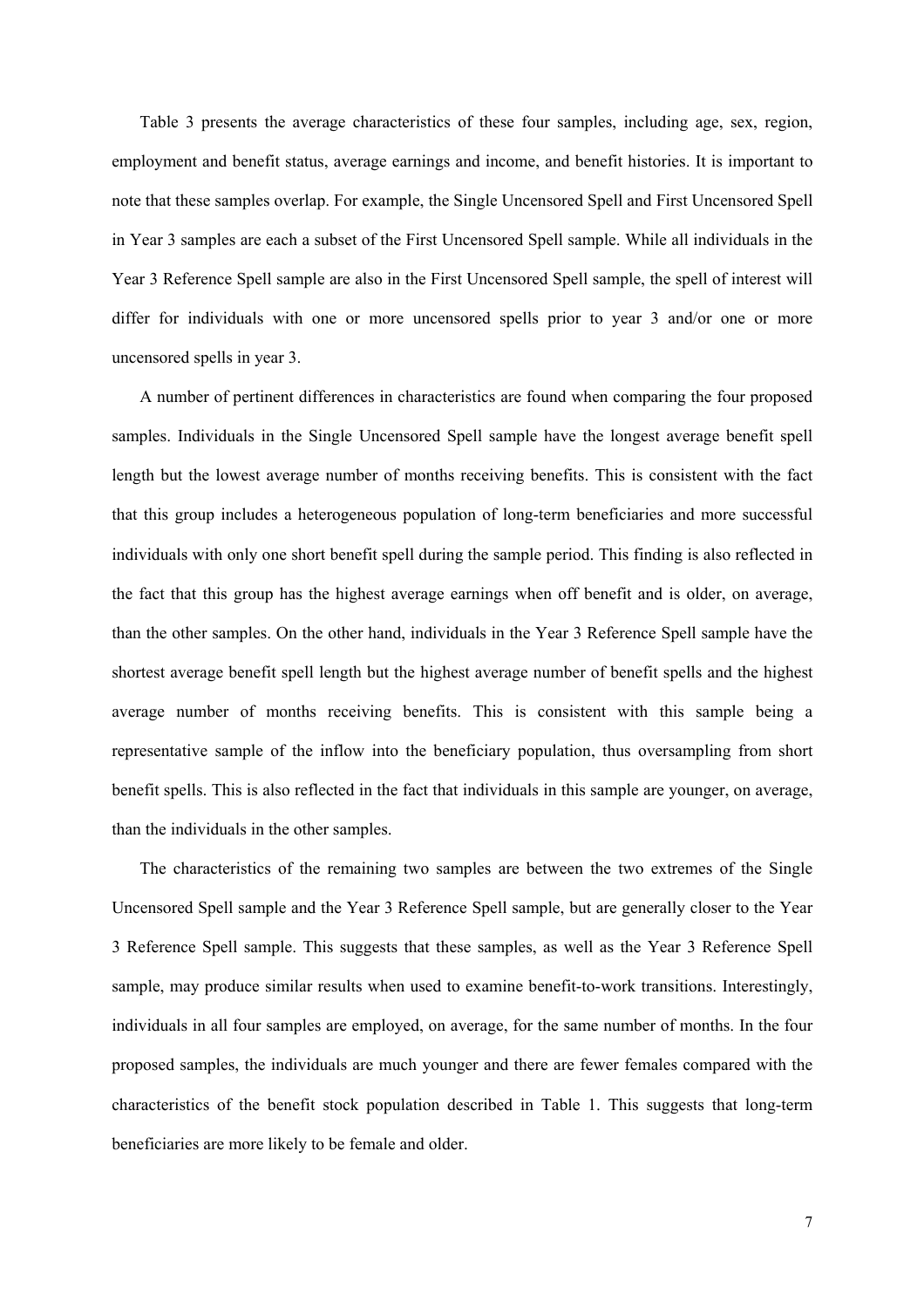Table 3 presents the average characteristics of these four samples, including age, sex, region, employment and benefit status, average earnings and income, and benefit histories. It is important to note that these samples overlap. For example, the Single Uncensored Spell and First Uncensored Spell in Year 3 samples are each a subset of the First Uncensored Spell sample. While all individuals in the Year 3 Reference Spell sample are also in the First Uncensored Spell sample, the spell of interest will differ for individuals with one or more uncensored spells prior to year 3 and/or one or more uncensored spells in year 3.

A number of pertinent differences in characteristics are found when comparing the four proposed samples. Individuals in the Single Uncensored Spell sample have the longest average benefit spell length but the lowest average number of months receiving benefits. This is consistent with the fact that this group includes a heterogeneous population of long-term beneficiaries and more successful individuals with only one short benefit spell during the sample period. This finding is also reflected in the fact that this group has the highest average earnings when off benefit and is older, on average, than the other samples. On the other hand, individuals in the Year 3 Reference Spell sample have the shortest average benefit spell length but the highest average number of benefit spells and the highest average number of months receiving benefits. This is consistent with this sample being a representative sample of the inflow into the beneficiary population, thus oversampling from short benefit spells. This is also reflected in the fact that individuals in this sample are younger, on average, than the individuals in the other samples.

The characteristics of the remaining two samples are between the two extremes of the Single Uncensored Spell sample and the Year 3 Reference Spell sample, but are generally closer to the Year 3 Reference Spell sample. This suggests that these samples, as well as the Year 3 Reference Spell sample, may produce similar results when used to examine benefit-to-work transitions. Interestingly, individuals in all four samples are employed, on average, for the same number of months. In the four proposed samples, the individuals are much younger and there are fewer females compared with the characteristics of the benefit stock population described in Table 1. This suggests that long-term beneficiaries are more likely to be female and older.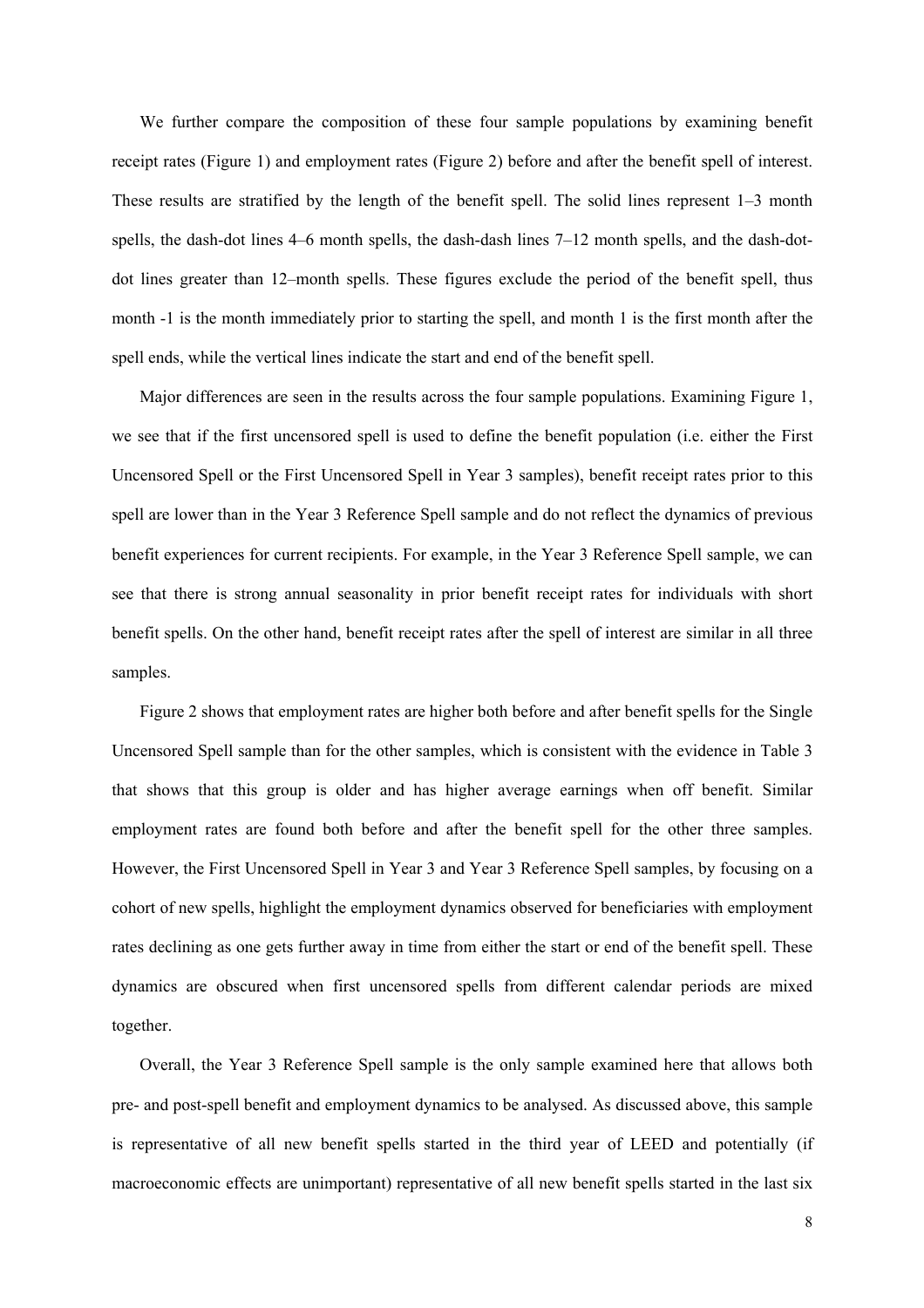We further compare the composition of these four sample populations by examining benefit receipt rates (Figure 1) and employment rates (Figure 2) before and after the benefit spell of interest. These results are stratified by the length of the benefit spell. The solid lines represent 1–3 month spells, the dash-dot lines 4–6 month spells, the dash-dash lines 7–12 month spells, and the dash-dotdot lines greater than 12–month spells. These figures exclude the period of the benefit spell, thus month -1 is the month immediately prior to starting the spell, and month 1 is the first month after the spell ends, while the vertical lines indicate the start and end of the benefit spell.

Major differences are seen in the results across the four sample populations. Examining Figure 1, we see that if the first uncensored spell is used to define the benefit population (i.e. either the First Uncensored Spell or the First Uncensored Spell in Year 3 samples), benefit receipt rates prior to this spell are lower than in the Year 3 Reference Spell sample and do not reflect the dynamics of previous benefit experiences for current recipients. For example, in the Year 3 Reference Spell sample, we can see that there is strong annual seasonality in prior benefit receipt rates for individuals with short benefit spells. On the other hand, benefit receipt rates after the spell of interest are similar in all three samples.

Figure 2 shows that employment rates are higher both before and after benefit spells for the Single Uncensored Spell sample than for the other samples, which is consistent with the evidence in Table 3 that shows that this group is older and has higher average earnings when off benefit. Similar employment rates are found both before and after the benefit spell for the other three samples. However, the First Uncensored Spell in Year 3 and Year 3 Reference Spell samples, by focusing on a cohort of new spells, highlight the employment dynamics observed for beneficiaries with employment rates declining as one gets further away in time from either the start or end of the benefit spell. These dynamics are obscured when first uncensored spells from different calendar periods are mixed together.

Overall, the Year 3 Reference Spell sample is the only sample examined here that allows both pre- and post-spell benefit and employment dynamics to be analysed. As discussed above, this sample is representative of all new benefit spells started in the third year of LEED and potentially (if macroeconomic effects are unimportant) representative of all new benefit spells started in the last six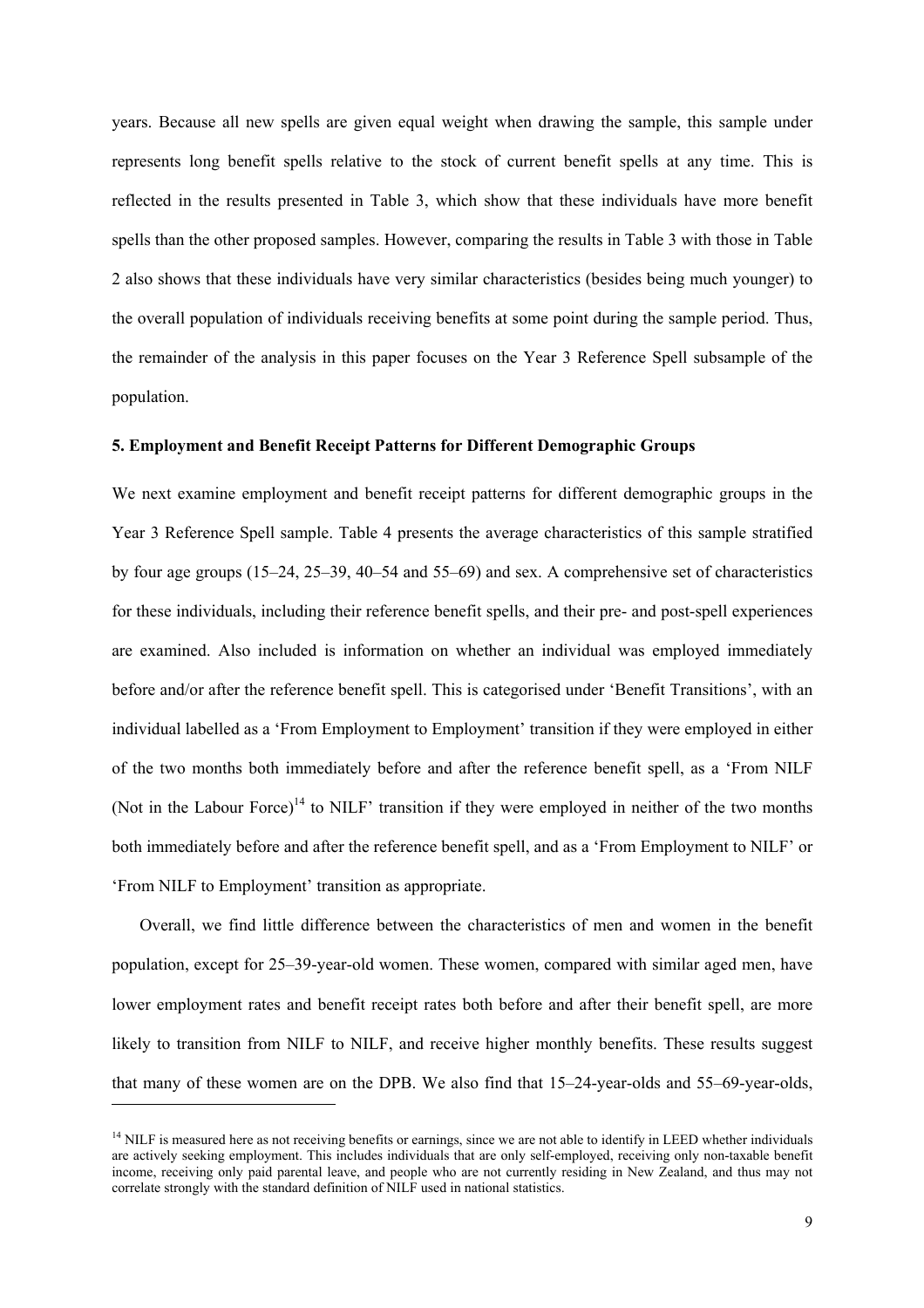years. Because all new spells are given equal weight when drawing the sample, this sample under represents long benefit spells relative to the stock of current benefit spells at any time. This is reflected in the results presented in Table 3, which show that these individuals have more benefit spells than the other proposed samples. However, comparing the results in Table 3 with those in Table 2 also shows that these individuals have very similar characteristics (besides being much younger) to the overall population of individuals receiving benefits at some point during the sample period. Thus, the remainder of the analysis in this paper focuses on the Year 3 Reference Spell subsample of the population.

#### **5. Employment and Benefit Receipt Patterns for Different Demographic Groups**

We next examine employment and benefit receipt patterns for different demographic groups in the Year 3 Reference Spell sample. Table 4 presents the average characteristics of this sample stratified by four age groups (15–24, 25–39, 40–54 and 55–69) and sex. A comprehensive set of characteristics for these individuals, including their reference benefit spells, and their pre- and post-spell experiences are examined. Also included is information on whether an individual was employed immediately before and/or after the reference benefit spell. This is categorised under 'Benefit Transitions', with an individual labelled as a 'From Employment to Employment' transition if they were employed in either of the two months both immediately before and after the reference benefit spell, as a 'From NILF (Not in the Labour Force)<sup>14</sup> to NILF' transition if they were employed in neither of the two months both immediately before and after the reference benefit spell, and as a 'From Employment to NILF' or 'From NILF to Employment' transition as appropriate.

Overall, we find little difference between the characteristics of men and women in the benefit population, except for 25–39-year-old women. These women, compared with similar aged men, have lower employment rates and benefit receipt rates both before and after their benefit spell, are more likely to transition from NILF to NILF, and receive higher monthly benefits. These results suggest that many of these women are on the DPB. We also find that 15–24-year-olds and 55–69-year-olds,

l

<sup>&</sup>lt;sup>14</sup> NILF is measured here as not receiving benefits or earnings, since we are not able to identify in LEED whether individuals are actively seeking employment. This includes individuals that are only self-employed, receiving only non-taxable benefit income, receiving only paid parental leave, and people who are not currently residing in New Zealand, and thus may not correlate strongly with the standard definition of NILF used in national statistics.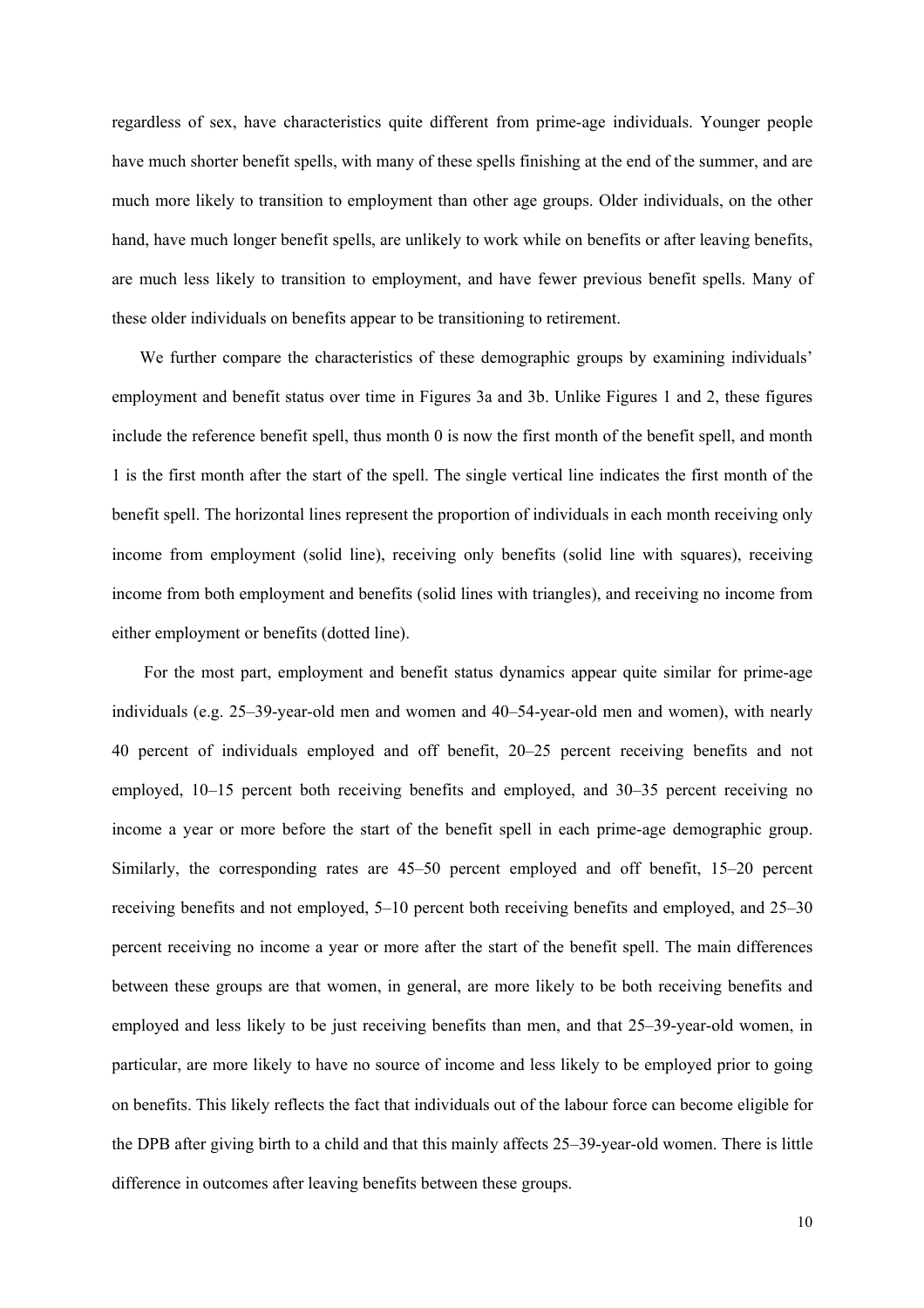regardless of sex, have characteristics quite different from prime-age individuals. Younger people have much shorter benefit spells, with many of these spells finishing at the end of the summer, and are much more likely to transition to employment than other age groups. Older individuals, on the other hand, have much longer benefit spells, are unlikely to work while on benefits or after leaving benefits, are much less likely to transition to employment, and have fewer previous benefit spells. Many of these older individuals on benefits appear to be transitioning to retirement.

We further compare the characteristics of these demographic groups by examining individuals' employment and benefit status over time in Figures 3a and 3b. Unlike Figures 1 and 2, these figures include the reference benefit spell, thus month 0 is now the first month of the benefit spell, and month 1 is the first month after the start of the spell. The single vertical line indicates the first month of the benefit spell. The horizontal lines represent the proportion of individuals in each month receiving only income from employment (solid line), receiving only benefits (solid line with squares), receiving income from both employment and benefits (solid lines with triangles), and receiving no income from either employment or benefits (dotted line).

 For the most part, employment and benefit status dynamics appear quite similar for prime-age individuals (e.g. 25–39-year-old men and women and 40–54-year-old men and women), with nearly 40 percent of individuals employed and off benefit, 20–25 percent receiving benefits and not employed, 10–15 percent both receiving benefits and employed, and 30–35 percent receiving no income a year or more before the start of the benefit spell in each prime-age demographic group. Similarly, the corresponding rates are 45–50 percent employed and off benefit, 15–20 percent receiving benefits and not employed, 5–10 percent both receiving benefits and employed, and 25–30 percent receiving no income a year or more after the start of the benefit spell. The main differences between these groups are that women, in general, are more likely to be both receiving benefits and employed and less likely to be just receiving benefits than men, and that 25–39-year-old women, in particular, are more likely to have no source of income and less likely to be employed prior to going on benefits. This likely reflects the fact that individuals out of the labour force can become eligible for the DPB after giving birth to a child and that this mainly affects 25–39-year-old women. There is little difference in outcomes after leaving benefits between these groups.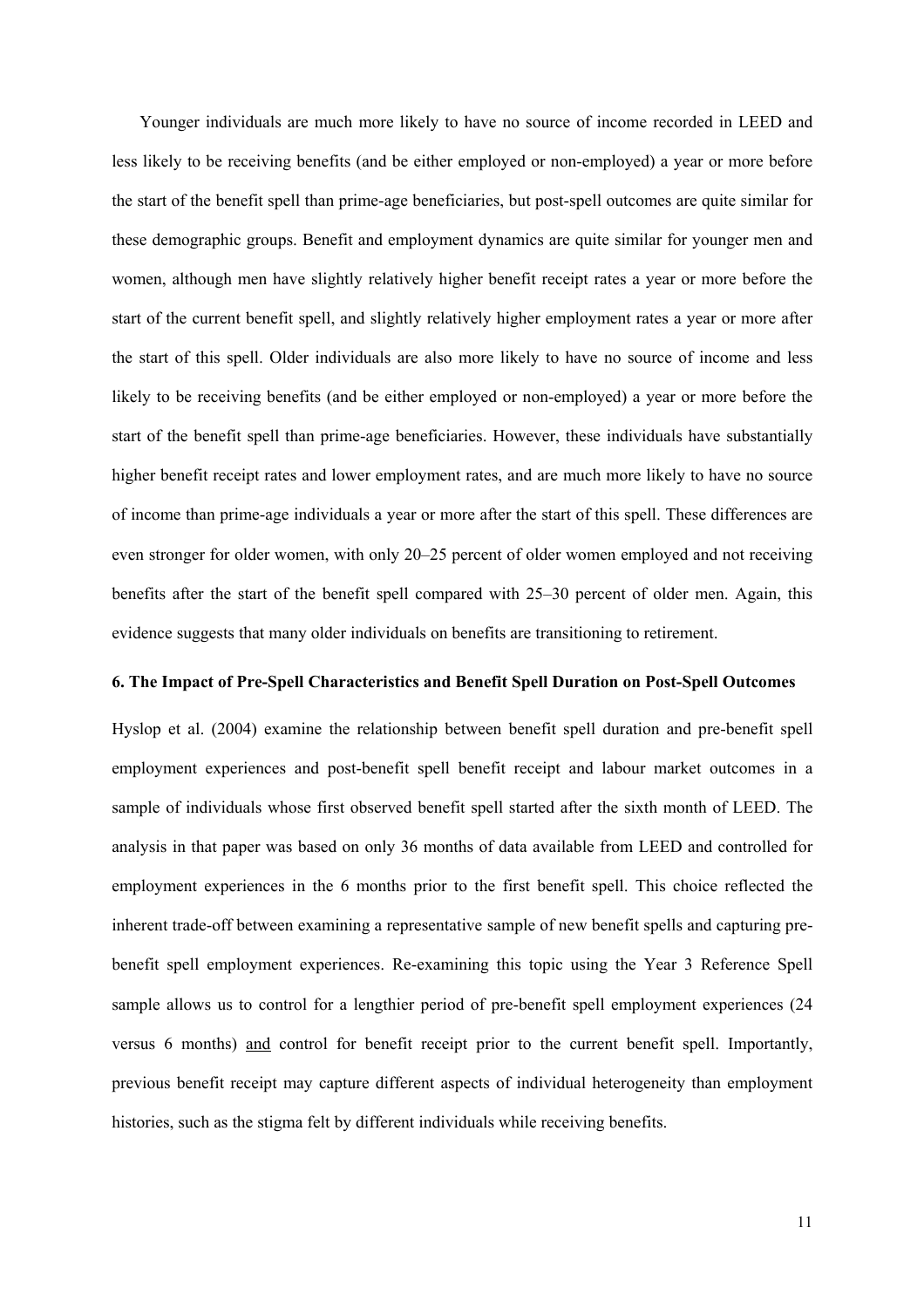Younger individuals are much more likely to have no source of income recorded in LEED and less likely to be receiving benefits (and be either employed or non-employed) a year or more before the start of the benefit spell than prime-age beneficiaries, but post-spell outcomes are quite similar for these demographic groups. Benefit and employment dynamics are quite similar for younger men and women, although men have slightly relatively higher benefit receipt rates a year or more before the start of the current benefit spell, and slightly relatively higher employment rates a year or more after the start of this spell. Older individuals are also more likely to have no source of income and less likely to be receiving benefits (and be either employed or non-employed) a year or more before the start of the benefit spell than prime-age beneficiaries. However, these individuals have substantially higher benefit receipt rates and lower employment rates, and are much more likely to have no source of income than prime-age individuals a year or more after the start of this spell. These differences are even stronger for older women, with only 20–25 percent of older women employed and not receiving benefits after the start of the benefit spell compared with 25–30 percent of older men. Again, this evidence suggests that many older individuals on benefits are transitioning to retirement.

## **6. The Impact of Pre-Spell Characteristics and Benefit Spell Duration on Post-Spell Outcomes**

Hyslop et al. (2004) examine the relationship between benefit spell duration and pre-benefit spell employment experiences and post-benefit spell benefit receipt and labour market outcomes in a sample of individuals whose first observed benefit spell started after the sixth month of LEED. The analysis in that paper was based on only 36 months of data available from LEED and controlled for employment experiences in the 6 months prior to the first benefit spell. This choice reflected the inherent trade-off between examining a representative sample of new benefit spells and capturing prebenefit spell employment experiences. Re-examining this topic using the Year 3 Reference Spell sample allows us to control for a lengthier period of pre-benefit spell employment experiences (24 versus 6 months) and control for benefit receipt prior to the current benefit spell. Importantly, previous benefit receipt may capture different aspects of individual heterogeneity than employment histories, such as the stigma felt by different individuals while receiving benefits.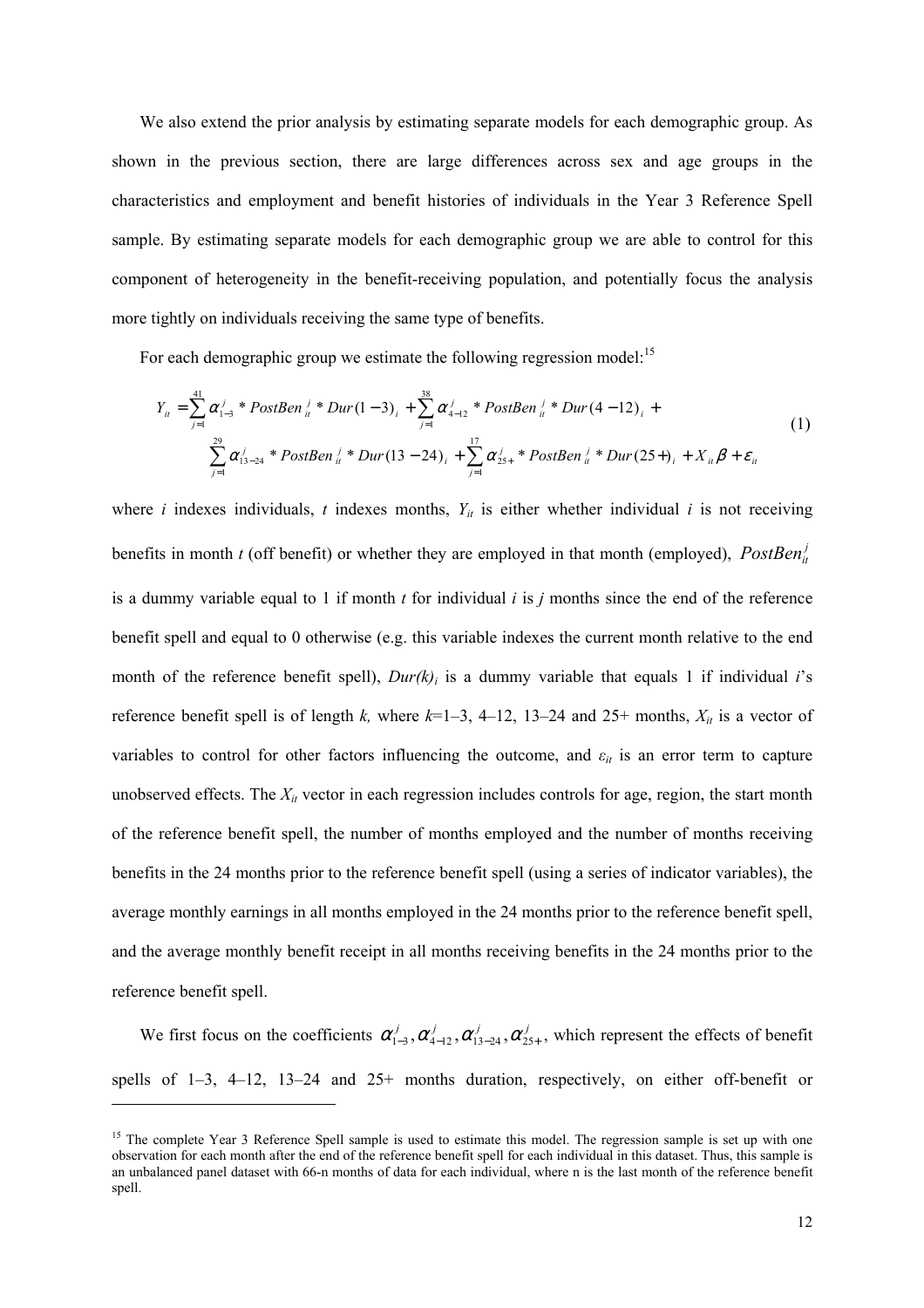We also extend the prior analysis by estimating separate models for each demographic group. As shown in the previous section, there are large differences across sex and age groups in the characteristics and employment and benefit histories of individuals in the Year 3 Reference Spell sample. By estimating separate models for each demographic group we are able to control for this component of heterogeneity in the benefit-receiving population, and potentially focus the analysis more tightly on individuals receiving the same type of benefits.

For each demographic group we estimate the following regression model:<sup>15</sup>

$$
Y_{ii} = \sum_{j=1}^{41} \alpha_{1-3}^{j} * PostBen_{ii}^{j} * Dur(1-3)_{i} + \sum_{j=1}^{38} \alpha_{4-12}^{j} * PostBen_{ii}^{j} * Dur(4-12)_{i} + \sum_{j=1}^{29} \alpha_{13-24}^{j} * PostBen_{ii}^{j} * Dur(13-24)_{i} + \sum_{j=1}^{17} \alpha_{25+}^{j} * PostBen_{ii}^{j} * Dur(25+)_{i} + X_{ii} \beta + \varepsilon_{ii}
$$
\n(1)

where *i* indexes individuals, *t* indexes months,  $Y_{it}$  is either whether individual *i* is not receiving benefits in month *t* (off benefit) or whether they are employed in that month (employed),  $PostBen<sub>it</sub><sup>j</sup>$ is a dummy variable equal to 1 if month *t* for individual *i* is *j* months since the end of the reference benefit spell and equal to 0 otherwise (e.g. this variable indexes the current month relative to the end month of the reference benefit spell),  $Dur(k)$  is a dummy variable that equals 1 if individual *i*'s reference benefit spell is of length *k*, where  $k=1-3$ , 4–12, 13–24 and 25+ months,  $X_{it}$  is a vector of variables to control for other factors influencing the outcome, and  $\varepsilon_{it}$  is an error term to capture unobserved effects. The  $X_{it}$  vector in each regression includes controls for age, region, the start month of the reference benefit spell, the number of months employed and the number of months receiving benefits in the 24 months prior to the reference benefit spell (using a series of indicator variables), the average monthly earnings in all months employed in the 24 months prior to the reference benefit spell, and the average monthly benefit receipt in all months receiving benefits in the 24 months prior to the reference benefit spell.

We first focus on the coefficients  $\alpha'_{1-3}, \alpha'_{4-12}, \alpha'_{13-24}, \alpha'_{25+}$ , which represent the effects of benefit spells of  $1-3$ ,  $4-12$ ,  $13-24$  and  $25+$  months duration, respectively, on either off-benefit or

l

<sup>&</sup>lt;sup>15</sup> The complete Year 3 Reference Spell sample is used to estimate this model. The regression sample is set up with one observation for each month after the end of the reference benefit spell for each individual in this dataset. Thus, this sample is an unbalanced panel dataset with 66-n months of data for each individual, where n is the last month of the reference benefit spell.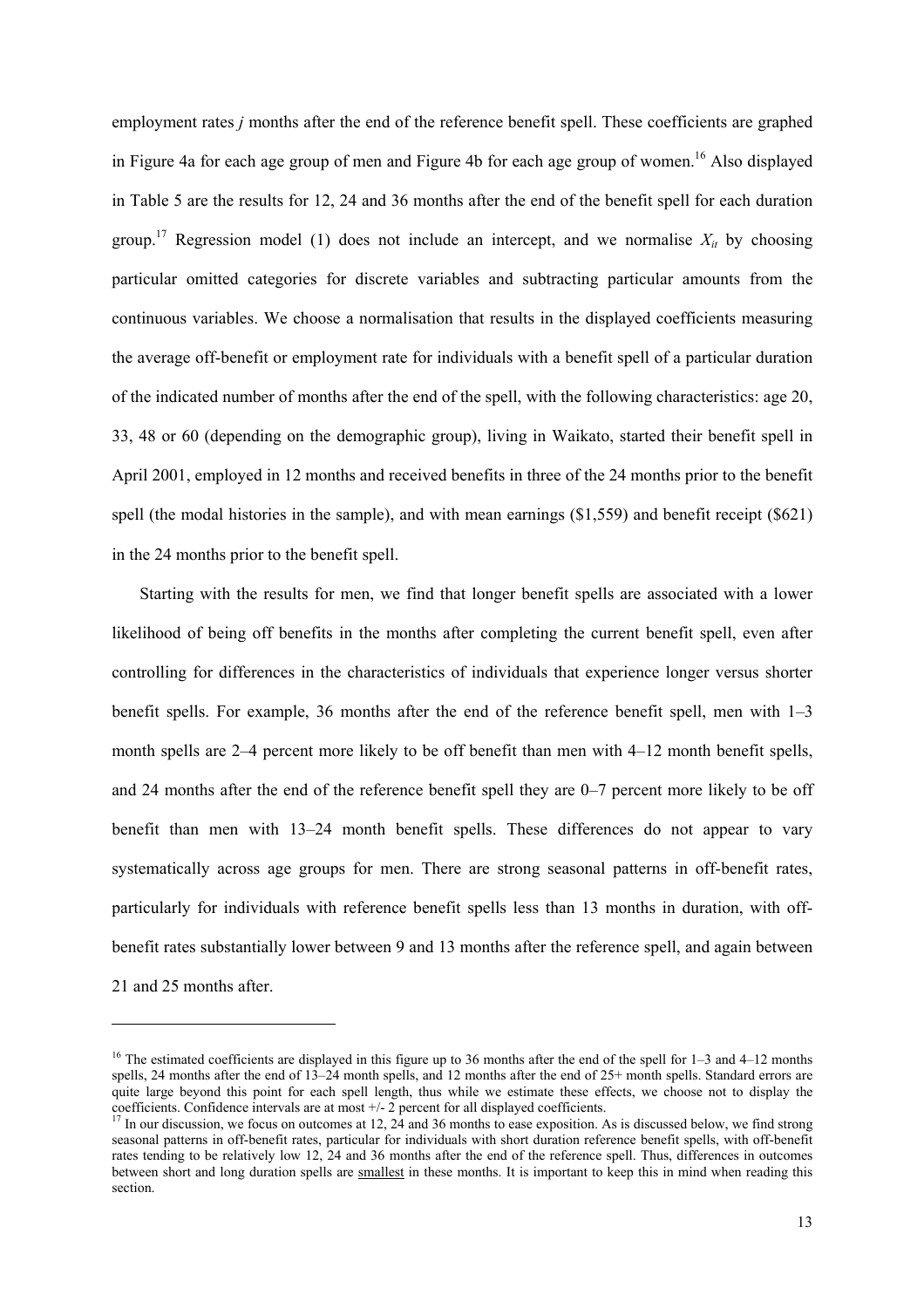employment rates *j* months after the end of the reference benefit spell. These coefficients are graphed in Figure 4a for each age group of men and Figure 4b for each age group of women.<sup>16</sup> Also displayed in Table 5 are the results for 12, 24 and 36 months after the end of the benefit spell for each duration group.<sup>17</sup> Regression model (1) does not include an intercept, and we normalise  $X_{it}$  by choosing particular omitted categories for discrete variables and subtracting particular amounts from the continuous variables. We choose a normalisation that results in the displayed coefficients measuring the average off-benefit or employment rate for individuals with a benefit spell of a particular duration of the indicated number of months after the end of the spell, with the following characteristics: age 20, 33, 48 or 60 (depending on the demographic group), living in Waikato, started their benefit spell in April 2001, employed in 12 months and received benefits in three of the 24 months prior to the benefit spell (the modal histories in the sample), and with mean earnings (\$1,559) and benefit receipt (\$621) in the 24 months prior to the benefit spell.

Starting with the results for men, we find that longer benefit spells are associated with a lower likelihood of being off benefits in the months after completing the current benefit spell, even after controlling for differences in the characteristics of individuals that experience longer versus shorter benefit spells. For example, 36 months after the end of the reference benefit spell, men with 1–3 month spells are 2–4 percent more likely to be off benefit than men with 4–12 month benefit spells, and 24 months after the end of the reference benefit spell they are 0–7 percent more likely to be off benefit than men with 13–24 month benefit spells. These differences do not appear to vary systematically across age groups for men. There are strong seasonal patterns in off-benefit rates, particularly for individuals with reference benefit spells less than 13 months in duration, with offbenefit rates substantially lower between 9 and 13 months after the reference spell, and again between 21 and 25 months after.

l

<sup>&</sup>lt;sup>16</sup> The estimated coefficients are displayed in this figure up to 36 months after the end of the spell for  $1-3$  and  $4-12$  months spells, 24 months after the end of 13–24 month spells, and 12 months after the end of 25+ month spells. Standard errors are quite large beyond this point for each spell length, thus while we estimate these effects, we choose not to display the coefficients. Confidence intervals are at most +/- 2 percent for all displayed coefficients.

<sup>&</sup>lt;sup>17</sup> In our discussion, we focus on outcomes at 12,  $\frac{24}{4}$  and 36 months to ease exposition. As is discussed below, we find strong seasonal patterns in off-benefit rates, particular for individuals with short duration reference benefit spells, with off-benefit rates tending to be relatively low 12, 24 and 36 months after the end of the reference spell. Thus, differences in outcomes between short and long duration spells are smallest in these months. It is important to keep this in mind when reading this section.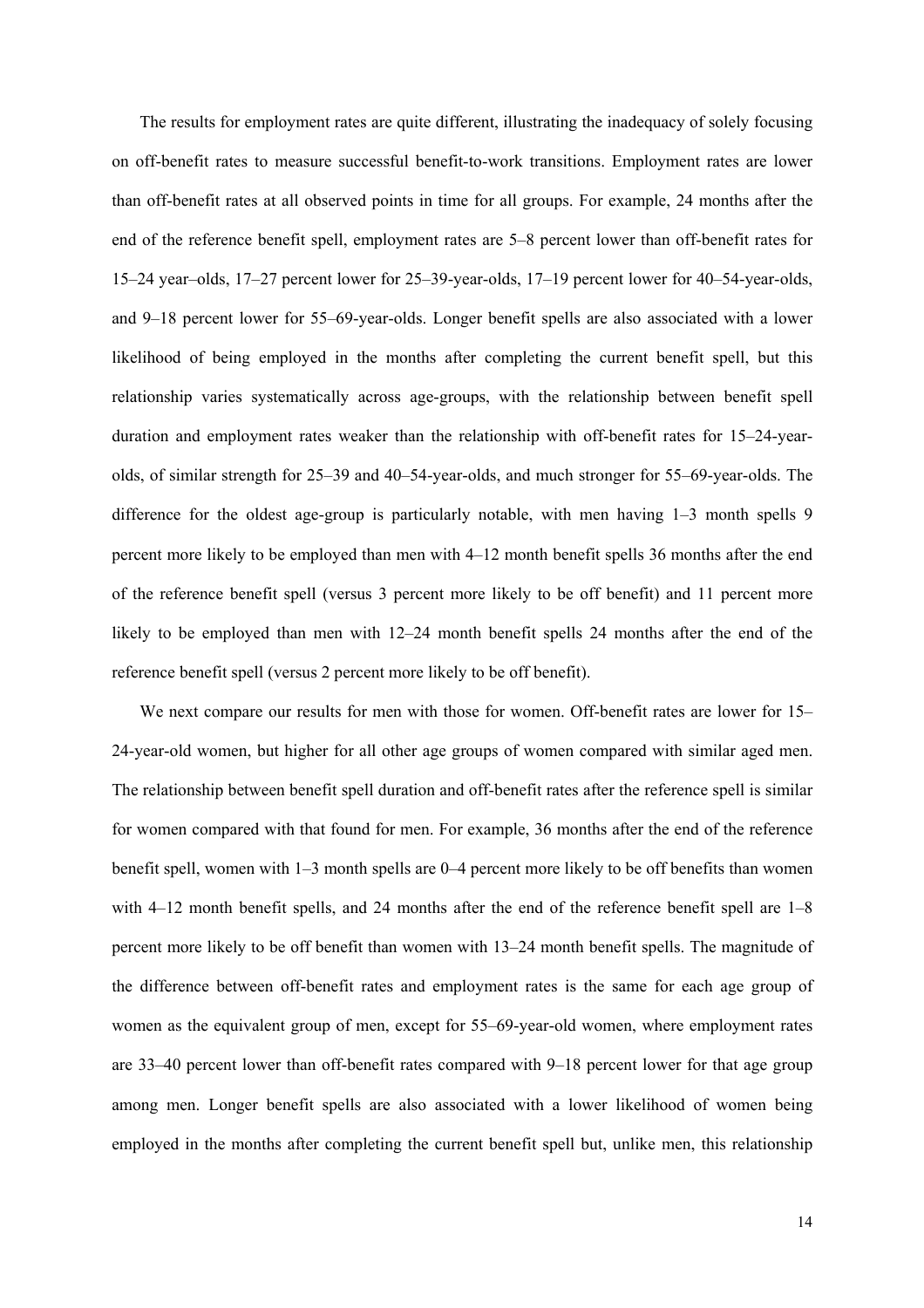The results for employment rates are quite different, illustrating the inadequacy of solely focusing on off-benefit rates to measure successful benefit-to-work transitions. Employment rates are lower than off-benefit rates at all observed points in time for all groups. For example, 24 months after the end of the reference benefit spell, employment rates are 5–8 percent lower than off-benefit rates for 15–24 year–olds, 17–27 percent lower for 25–39-year-olds, 17–19 percent lower for 40–54-year-olds, and 9–18 percent lower for 55–69-year-olds. Longer benefit spells are also associated with a lower likelihood of being employed in the months after completing the current benefit spell, but this relationship varies systematically across age-groups, with the relationship between benefit spell duration and employment rates weaker than the relationship with off-benefit rates for 15–24-yearolds, of similar strength for 25–39 and 40–54-year-olds, and much stronger for 55–69-year-olds. The difference for the oldest age-group is particularly notable, with men having 1–3 month spells 9 percent more likely to be employed than men with 4–12 month benefit spells 36 months after the end of the reference benefit spell (versus 3 percent more likely to be off benefit) and 11 percent more likely to be employed than men with 12–24 month benefit spells 24 months after the end of the reference benefit spell (versus 2 percent more likely to be off benefit).

We next compare our results for men with those for women. Off-benefit rates are lower for 15– 24-year-old women, but higher for all other age groups of women compared with similar aged men. The relationship between benefit spell duration and off-benefit rates after the reference spell is similar for women compared with that found for men. For example, 36 months after the end of the reference benefit spell, women with 1–3 month spells are 0–4 percent more likely to be off benefits than women with 4–12 month benefit spells, and 24 months after the end of the reference benefit spell are 1–8 percent more likely to be off benefit than women with 13–24 month benefit spells. The magnitude of the difference between off-benefit rates and employment rates is the same for each age group of women as the equivalent group of men, except for 55–69-year-old women, where employment rates are 33–40 percent lower than off-benefit rates compared with 9–18 percent lower for that age group among men. Longer benefit spells are also associated with a lower likelihood of women being employed in the months after completing the current benefit spell but, unlike men, this relationship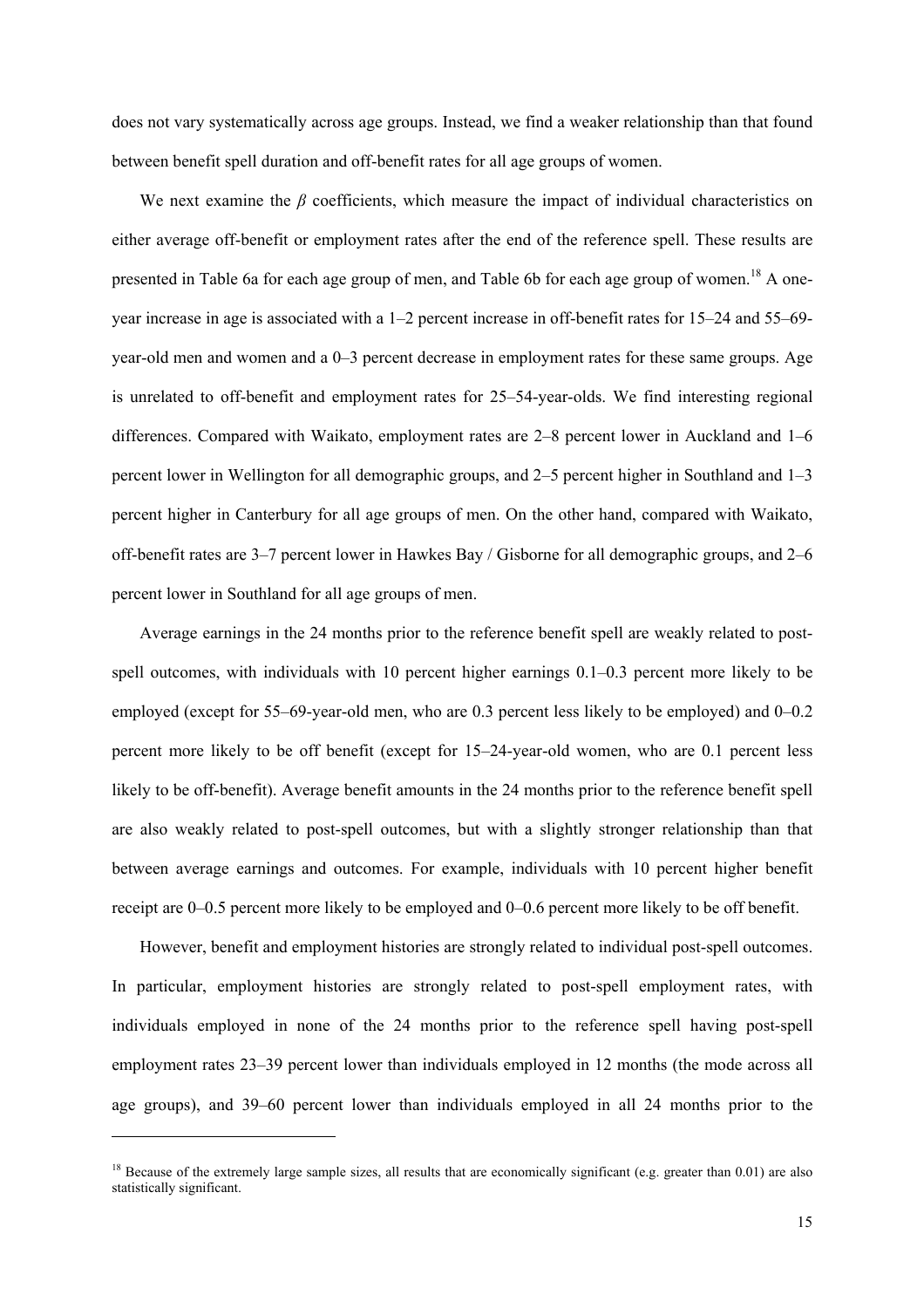does not vary systematically across age groups. Instead, we find a weaker relationship than that found between benefit spell duration and off-benefit rates for all age groups of women.

We next examine the  $\beta$  coefficients, which measure the impact of individual characteristics on either average off-benefit or employment rates after the end of the reference spell. These results are presented in Table 6a for each age group of men, and Table 6b for each age group of women.18 A oneyear increase in age is associated with a 1–2 percent increase in off-benefit rates for 15–24 and 55–69 year-old men and women and a 0–3 percent decrease in employment rates for these same groups. Age is unrelated to off-benefit and employment rates for 25–54-year-olds. We find interesting regional differences. Compared with Waikato, employment rates are 2–8 percent lower in Auckland and 1–6 percent lower in Wellington for all demographic groups, and 2–5 percent higher in Southland and 1–3 percent higher in Canterbury for all age groups of men. On the other hand, compared with Waikato, off-benefit rates are 3–7 percent lower in Hawkes Bay / Gisborne for all demographic groups, and 2–6 percent lower in Southland for all age groups of men.

Average earnings in the 24 months prior to the reference benefit spell are weakly related to postspell outcomes, with individuals with 10 percent higher earnings  $0.1-0.3$  percent more likely to be employed (except for 55–69-year-old men, who are 0.3 percent less likely to be employed) and 0–0.2 percent more likely to be off benefit (except for 15–24-year-old women, who are 0.1 percent less likely to be off-benefit). Average benefit amounts in the 24 months prior to the reference benefit spell are also weakly related to post-spell outcomes, but with a slightly stronger relationship than that between average earnings and outcomes. For example, individuals with 10 percent higher benefit receipt are 0–0.5 percent more likely to be employed and 0–0.6 percent more likely to be off benefit.

However, benefit and employment histories are strongly related to individual post-spell outcomes. In particular, employment histories are strongly related to post-spell employment rates, with individuals employed in none of the 24 months prior to the reference spell having post-spell employment rates 23–39 percent lower than individuals employed in 12 months (the mode across all age groups), and 39–60 percent lower than individuals employed in all 24 months prior to the

 $\overline{\phantom{a}}$ 

<sup>&</sup>lt;sup>18</sup> Because of the extremely large sample sizes, all results that are economically significant (e.g. greater than 0.01) are also statistically significant.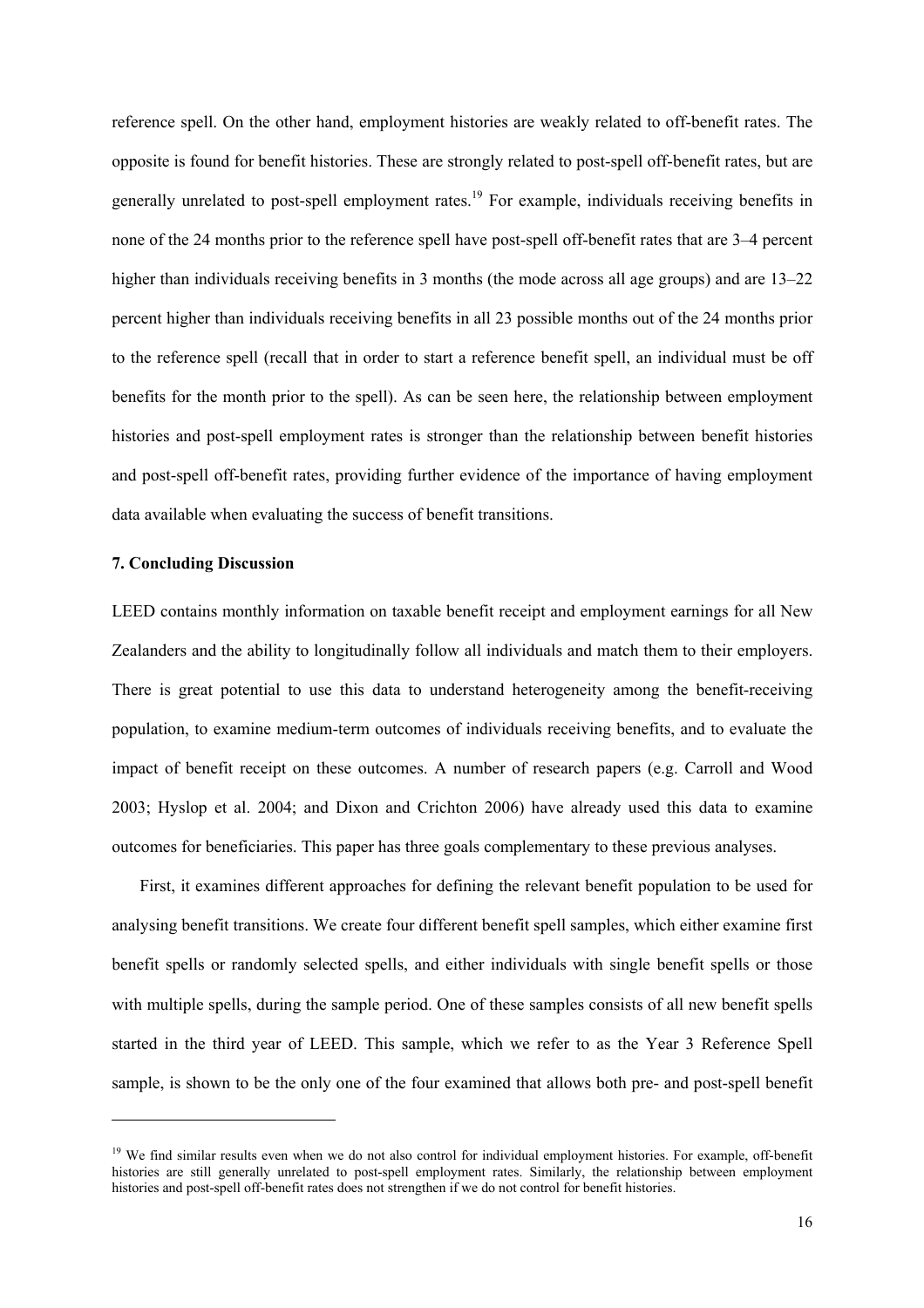reference spell. On the other hand, employment histories are weakly related to off-benefit rates. The opposite is found for benefit histories. These are strongly related to post-spell off-benefit rates, but are generally unrelated to post-spell employment rates.<sup>19</sup> For example, individuals receiving benefits in none of the 24 months prior to the reference spell have post-spell off-benefit rates that are 3–4 percent higher than individuals receiving benefits in 3 months (the mode across all age groups) and are 13–22 percent higher than individuals receiving benefits in all 23 possible months out of the 24 months prior to the reference spell (recall that in order to start a reference benefit spell, an individual must be off benefits for the month prior to the spell). As can be seen here, the relationship between employment histories and post-spell employment rates is stronger than the relationship between benefit histories and post-spell off-benefit rates, providing further evidence of the importance of having employment data available when evaluating the success of benefit transitions.

#### **7. Concluding Discussion**

l

LEED contains monthly information on taxable benefit receipt and employment earnings for all New Zealanders and the ability to longitudinally follow all individuals and match them to their employers. There is great potential to use this data to understand heterogeneity among the benefit-receiving population, to examine medium-term outcomes of individuals receiving benefits, and to evaluate the impact of benefit receipt on these outcomes. A number of research papers (e.g. Carroll and Wood 2003; Hyslop et al. 2004; and Dixon and Crichton 2006) have already used this data to examine outcomes for beneficiaries. This paper has three goals complementary to these previous analyses.

First, it examines different approaches for defining the relevant benefit population to be used for analysing benefit transitions. We create four different benefit spell samples, which either examine first benefit spells or randomly selected spells, and either individuals with single benefit spells or those with multiple spells, during the sample period. One of these samples consists of all new benefit spells started in the third year of LEED. This sample, which we refer to as the Year 3 Reference Spell sample, is shown to be the only one of the four examined that allows both pre- and post-spell benefit

 $19$  We find similar results even when we do not also control for individual employment histories. For example, off-benefit histories are still generally unrelated to post-spell employment rates. Similarly, the relationship between employment histories and post-spell off-benefit rates does not strengthen if we do not control for benefit histories.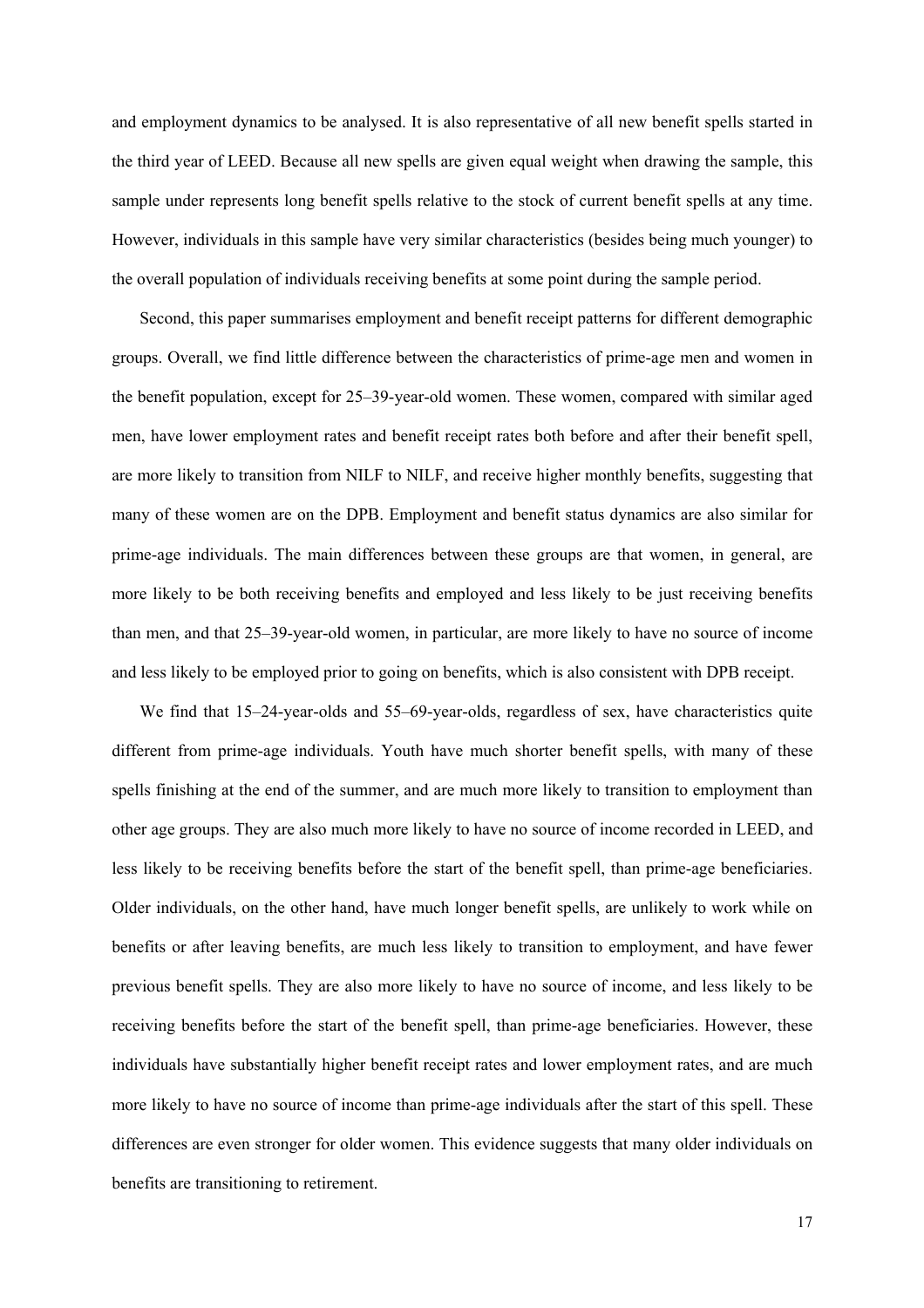and employment dynamics to be analysed. It is also representative of all new benefit spells started in the third year of LEED. Because all new spells are given equal weight when drawing the sample, this sample under represents long benefit spells relative to the stock of current benefit spells at any time. However, individuals in this sample have very similar characteristics (besides being much younger) to the overall population of individuals receiving benefits at some point during the sample period.

Second, this paper summarises employment and benefit receipt patterns for different demographic groups. Overall, we find little difference between the characteristics of prime-age men and women in the benefit population, except for 25–39-year-old women. These women, compared with similar aged men, have lower employment rates and benefit receipt rates both before and after their benefit spell, are more likely to transition from NILF to NILF, and receive higher monthly benefits, suggesting that many of these women are on the DPB. Employment and benefit status dynamics are also similar for prime-age individuals. The main differences between these groups are that women, in general, are more likely to be both receiving benefits and employed and less likely to be just receiving benefits than men, and that 25–39-year-old women, in particular, are more likely to have no source of income and less likely to be employed prior to going on benefits, which is also consistent with DPB receipt.

We find that 15–24-year-olds and 55–69-year-olds, regardless of sex, have characteristics quite different from prime-age individuals. Youth have much shorter benefit spells, with many of these spells finishing at the end of the summer, and are much more likely to transition to employment than other age groups. They are also much more likely to have no source of income recorded in LEED, and less likely to be receiving benefits before the start of the benefit spell, than prime-age beneficiaries. Older individuals, on the other hand, have much longer benefit spells, are unlikely to work while on benefits or after leaving benefits, are much less likely to transition to employment, and have fewer previous benefit spells. They are also more likely to have no source of income, and less likely to be receiving benefits before the start of the benefit spell, than prime-age beneficiaries. However, these individuals have substantially higher benefit receipt rates and lower employment rates, and are much more likely to have no source of income than prime-age individuals after the start of this spell. These differences are even stronger for older women. This evidence suggests that many older individuals on benefits are transitioning to retirement.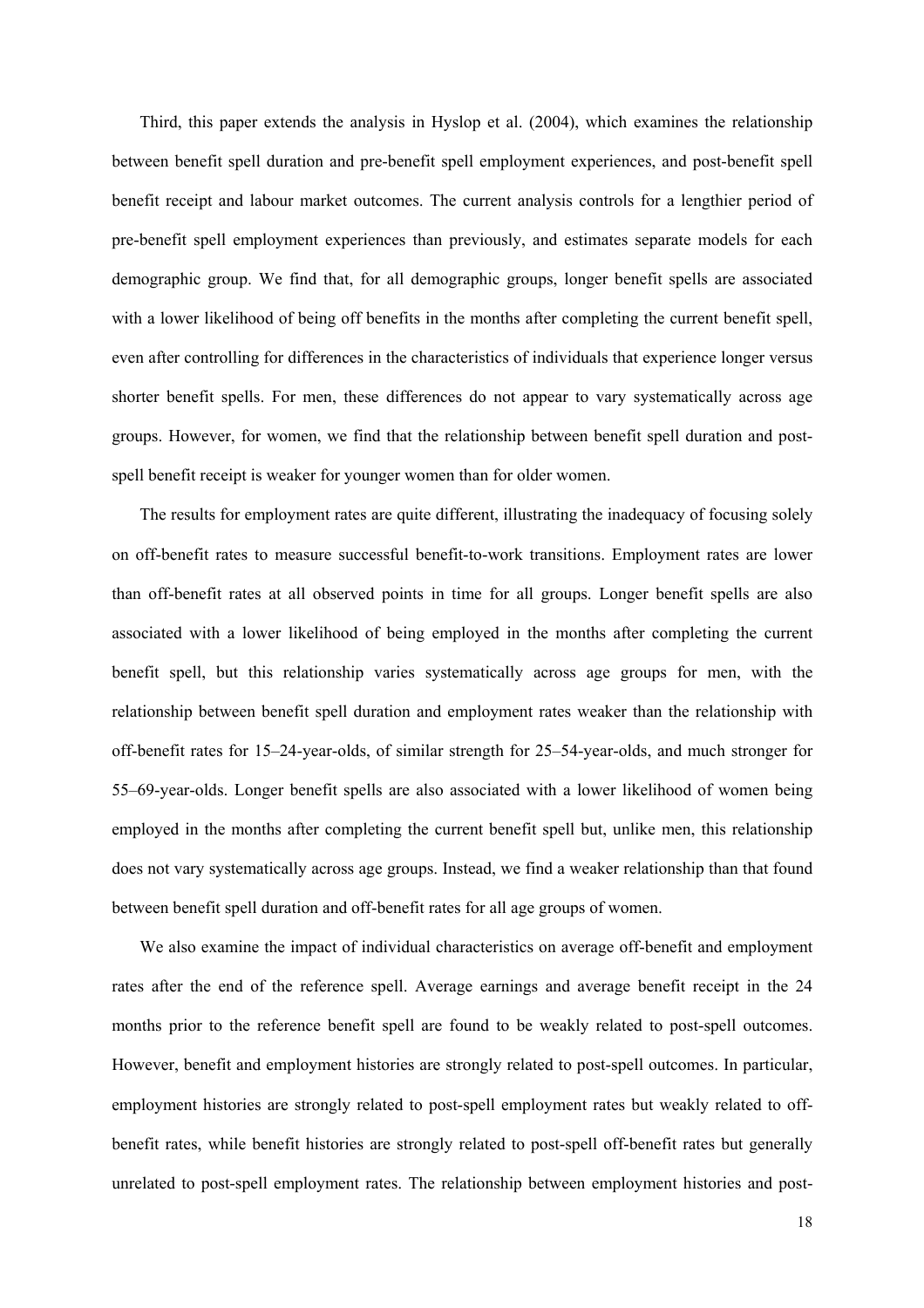Third, this paper extends the analysis in Hyslop et al. (2004), which examines the relationship between benefit spell duration and pre-benefit spell employment experiences, and post-benefit spell benefit receipt and labour market outcomes. The current analysis controls for a lengthier period of pre-benefit spell employment experiences than previously, and estimates separate models for each demographic group. We find that, for all demographic groups, longer benefit spells are associated with a lower likelihood of being off benefits in the months after completing the current benefit spell, even after controlling for differences in the characteristics of individuals that experience longer versus shorter benefit spells. For men, these differences do not appear to vary systematically across age groups. However, for women, we find that the relationship between benefit spell duration and postspell benefit receipt is weaker for younger women than for older women.

The results for employment rates are quite different, illustrating the inadequacy of focusing solely on off-benefit rates to measure successful benefit-to-work transitions. Employment rates are lower than off-benefit rates at all observed points in time for all groups. Longer benefit spells are also associated with a lower likelihood of being employed in the months after completing the current benefit spell, but this relationship varies systematically across age groups for men, with the relationship between benefit spell duration and employment rates weaker than the relationship with off-benefit rates for 15–24-year-olds, of similar strength for 25–54-year-olds, and much stronger for 55–69-year-olds. Longer benefit spells are also associated with a lower likelihood of women being employed in the months after completing the current benefit spell but, unlike men, this relationship does not vary systematically across age groups. Instead, we find a weaker relationship than that found between benefit spell duration and off-benefit rates for all age groups of women.

We also examine the impact of individual characteristics on average off-benefit and employment rates after the end of the reference spell. Average earnings and average benefit receipt in the 24 months prior to the reference benefit spell are found to be weakly related to post-spell outcomes. However, benefit and employment histories are strongly related to post-spell outcomes. In particular, employment histories are strongly related to post-spell employment rates but weakly related to offbenefit rates, while benefit histories are strongly related to post-spell off-benefit rates but generally unrelated to post-spell employment rates. The relationship between employment histories and post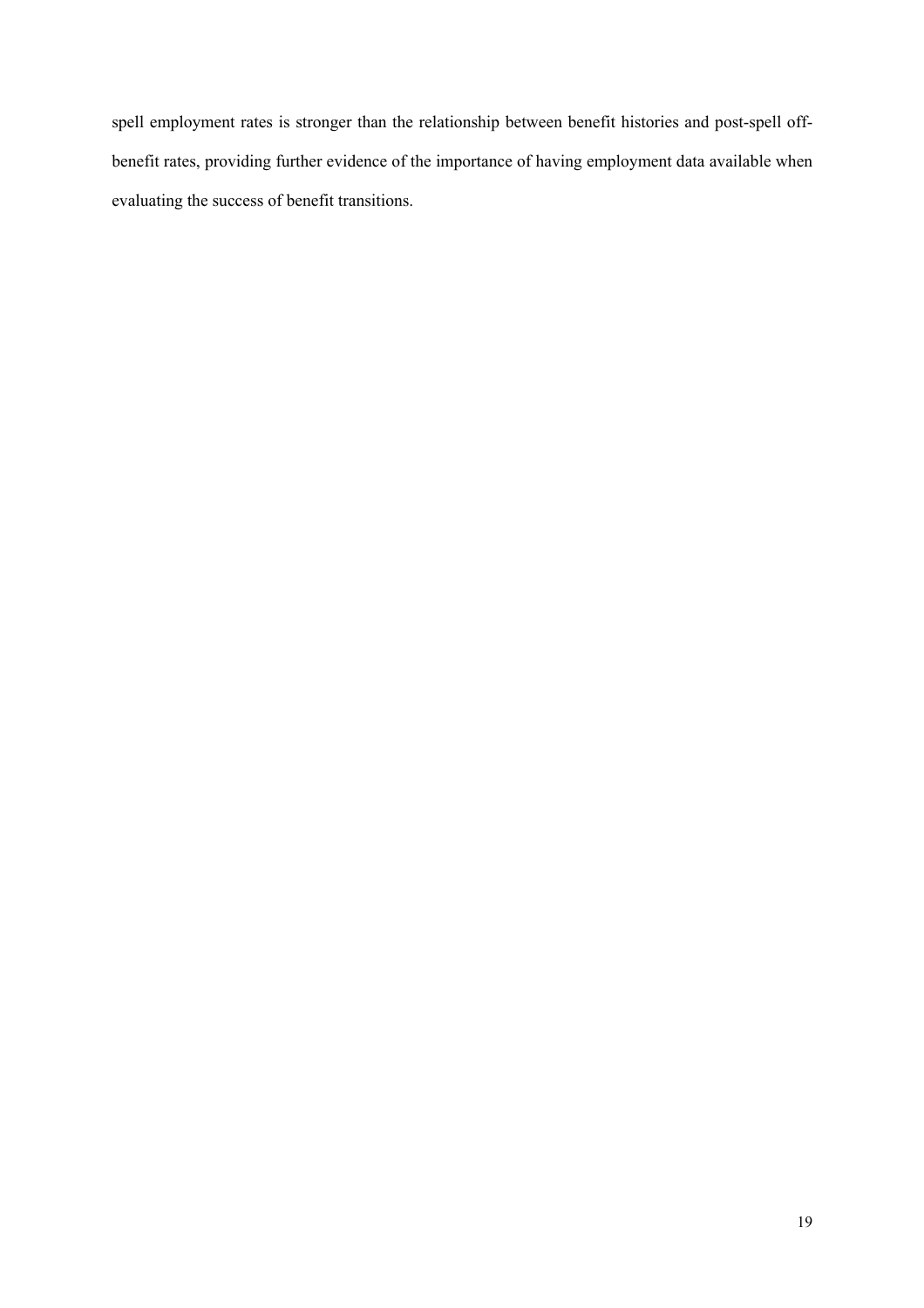spell employment rates is stronger than the relationship between benefit histories and post-spell offbenefit rates, providing further evidence of the importance of having employment data available when evaluating the success of benefit transitions.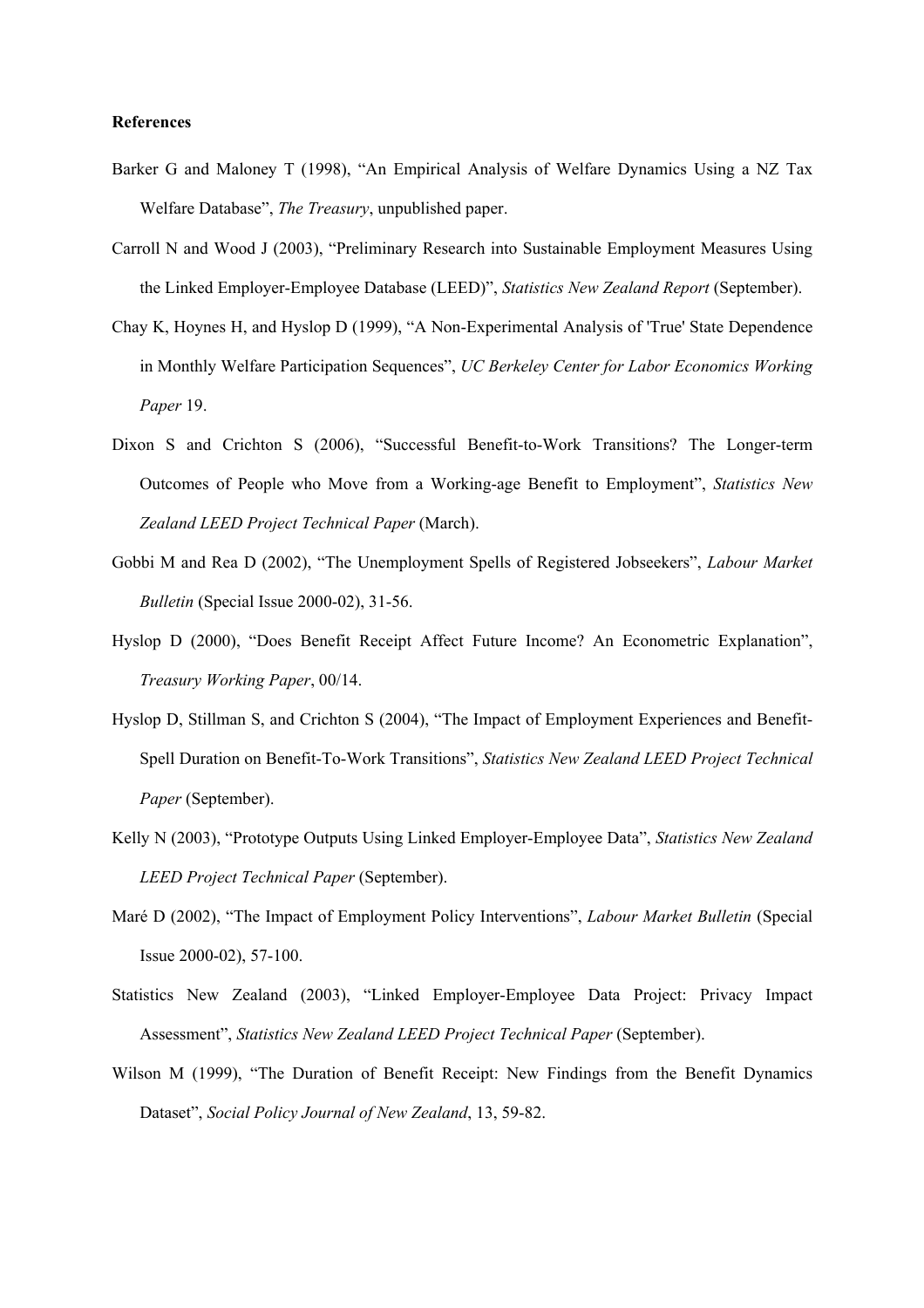#### **References**

- Barker G and Maloney T (1998), "An Empirical Analysis of Welfare Dynamics Using a NZ Tax Welfare Database", *The Treasury*, unpublished paper.
- Carroll N and Wood J (2003), "Preliminary Research into Sustainable Employment Measures Using the Linked Employer-Employee Database (LEED)", *Statistics New Zealand Report* (September).
- Chay K, Hoynes H, and Hyslop D (1999), "A Non-Experimental Analysis of 'True' State Dependence in Monthly Welfare Participation Sequences", *UC Berkeley Center for Labor Economics Working Paper* 19.
- Dixon S and Crichton S (2006), "Successful Benefit-to-Work Transitions? The Longer-term Outcomes of People who Move from a Working-age Benefit to Employment", *Statistics New Zealand LEED Project Technical Paper* (March).
- Gobbi M and Rea D (2002), "The Unemployment Spells of Registered Jobseekers", *Labour Market Bulletin* (Special Issue 2000-02), 31-56.
- Hyslop D (2000), "Does Benefit Receipt Affect Future Income? An Econometric Explanation", *Treasury Working Paper*, 00/14.
- Hyslop D, Stillman S, and Crichton S (2004), "The Impact of Employment Experiences and Benefit-Spell Duration on Benefit-To-Work Transitions", *Statistics New Zealand LEED Project Technical Paper* (September).
- Kelly N (2003), "Prototype Outputs Using Linked Employer-Employee Data", *Statistics New Zealand LEED Project Technical Paper* (September).
- Maré D (2002), "The Impact of Employment Policy Interventions", *Labour Market Bulletin* (Special Issue 2000-02), 57-100.
- Statistics New Zealand (2003), "Linked Employer-Employee Data Project: Privacy Impact Assessment", *Statistics New Zealand LEED Project Technical Paper* (September).
- Wilson M (1999), "The Duration of Benefit Receipt: New Findings from the Benefit Dynamics Dataset", *Social Policy Journal of New Zealand*, 13, 59-82.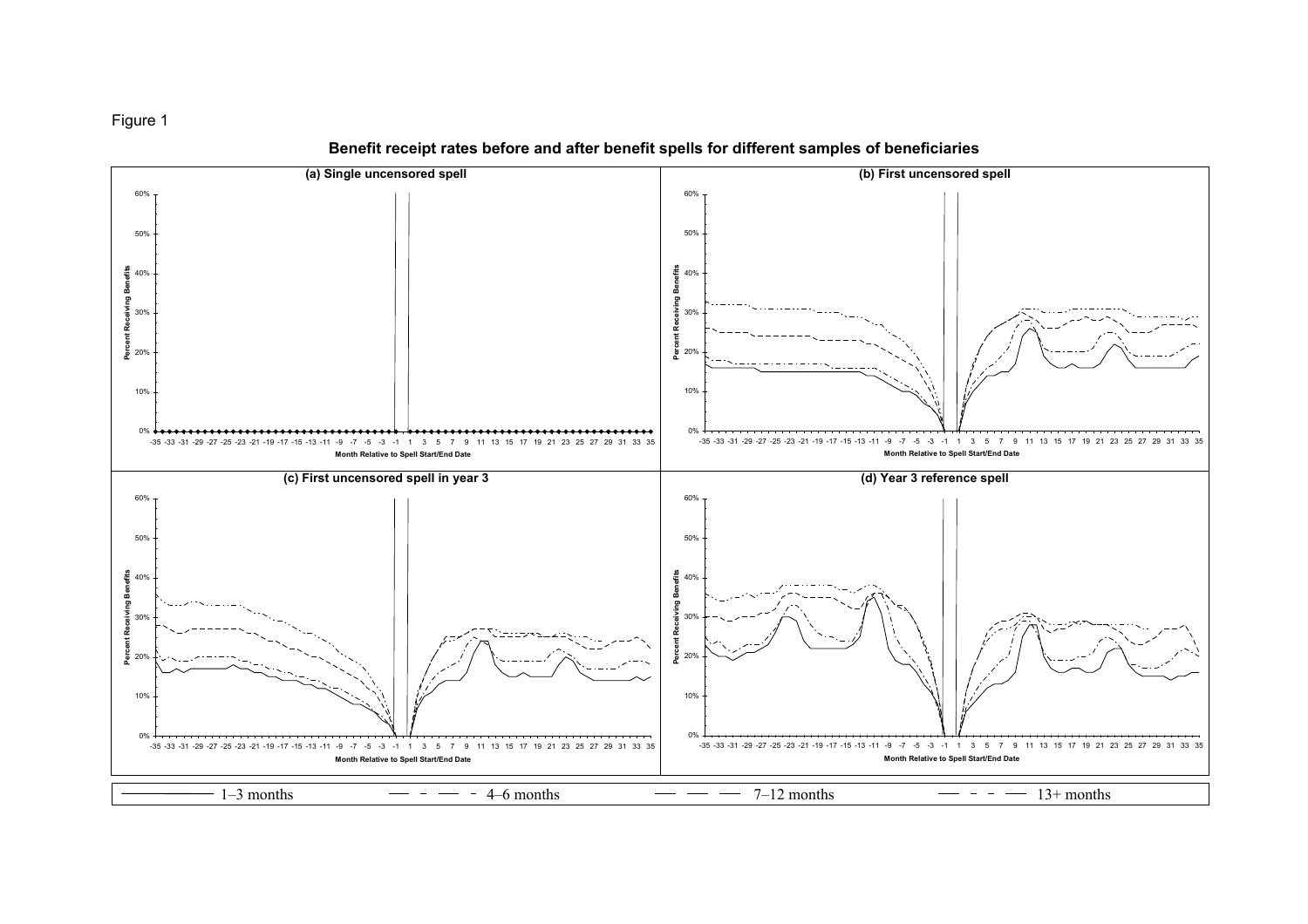

(a) Single uncensored spell (b) First uncensored spell 60%60%50%50% ឌី  $40%$ **Percent Receiving Benefits** 40%**Percent Receiving Benefits** n<br>Ser 岛  $\frac{1}{6}$  30% Ā 30%ř 20% 20% 10%10% $0\% +$ 0%-35 -33 -31 -29 -27 -25 -23 -21 -19 -17 -15 -13 -11 -9 -7 -5 -3 -1 1 3 5 7 9 11 13 15 17 19 21 23 25 27 29 31 33 35-35 -33 -31 -29 -27 -25 -23 -21 -19 -17 -15 -13 -11 -9 -7 -5 -3 -1 1 3 5 7 9 11 13 15 17 19 21 23 25 27 29 31 33 35 **Month Relative to Spell Start/End Date Month Relative to Spell Start/End Date** (d) Year 3 reference spell (c) First uncensored spell in year 3 60% 60% 50%50% £ **Percent Receiving Benefits Percent Receiving Benefits** 40%40% 홂 ě 30%30% 1t Red - 2 20%20% 10% 10% 0%0% -35 -33 -31 -29 -27 -25 -23 -21 -19 -17 -15 -13 -11 -9 -7 -5 -3 -1 1 3 5 7 9 11 13 15 17 19 21 23 25 27 29 31 33 35 -35 -33 -31 -29 -27 -25 -23 -21 -19 -17 -15 -13 -11 -9 -7 -5 -3 -1 1 3 5 7 9 11 13 15 17 19 21 23 25 27 29 31 33 35 **Month Relative to Spell Start/End Date Month Relative to Spell Start/End Date**  $7-12$  months  $13+$  months  $-1$ –3 months  $-$  – – – 4–6 months

Benefit receipt rates before and after benefit spells for different samples of beneficiaries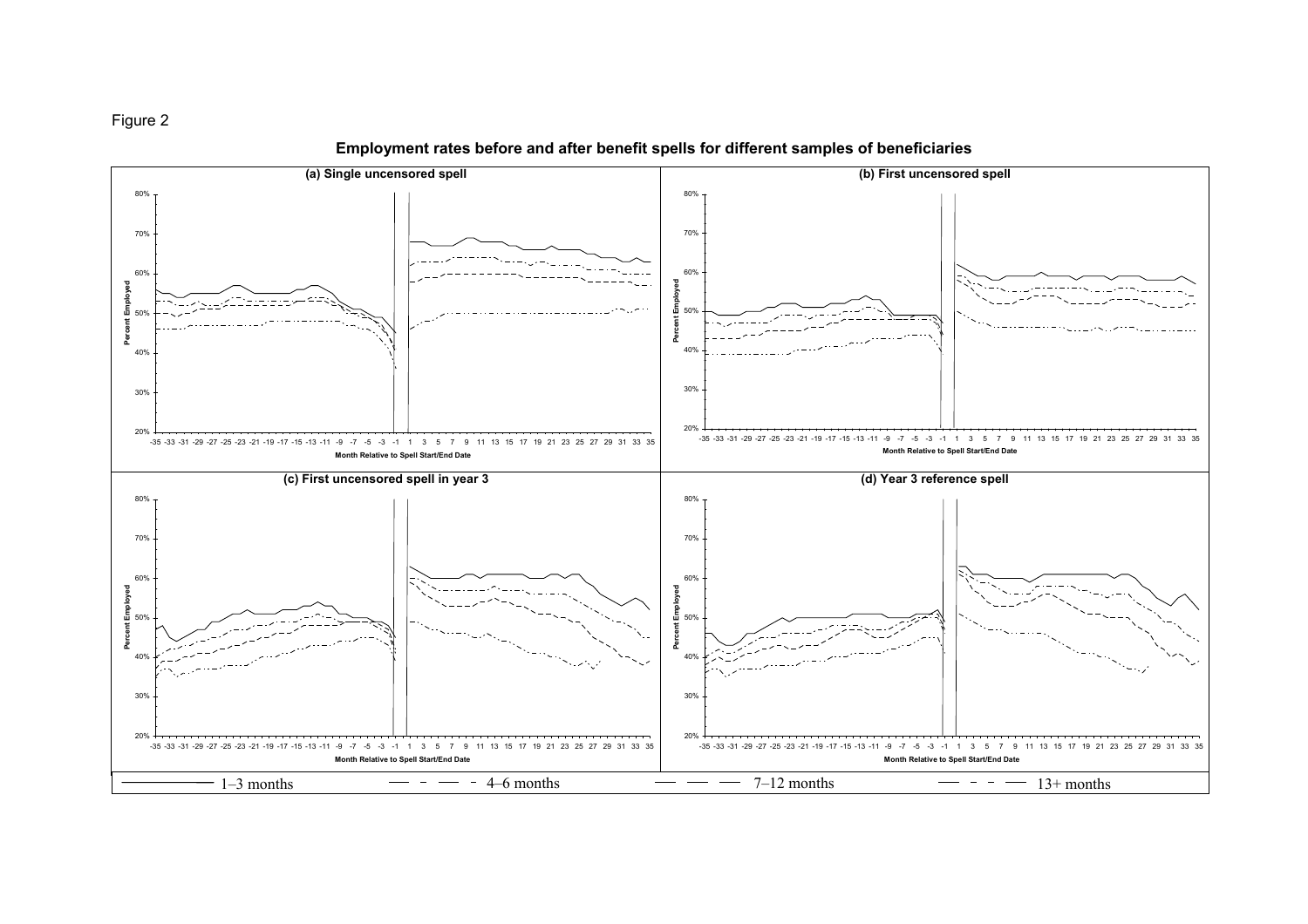



Employment rates before and after benefit spells for different samples of beneficiaries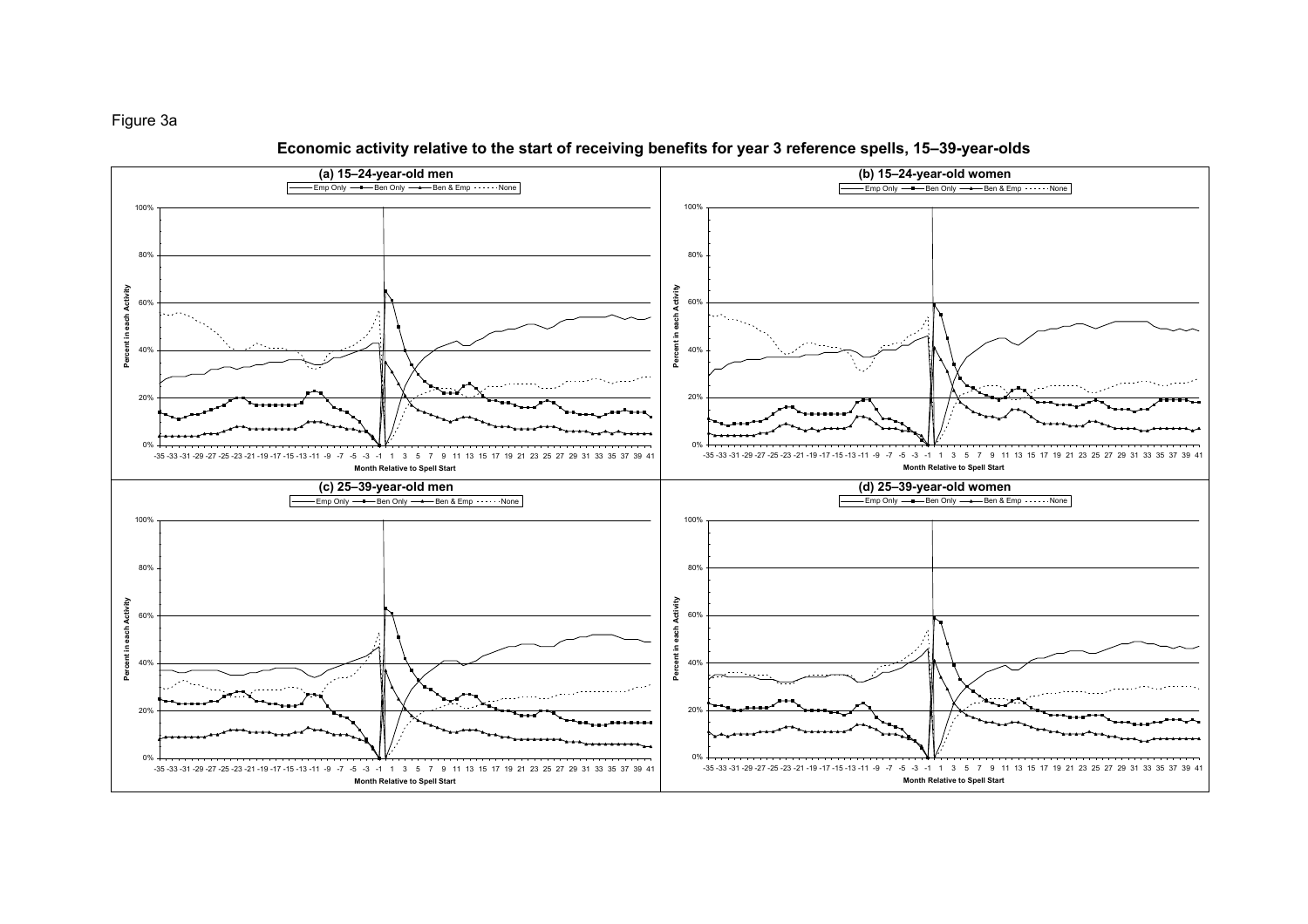# Figure 3a



# Economic activity relative to the start of receiving benefits for year 3 reference spells, 15–39-year-olds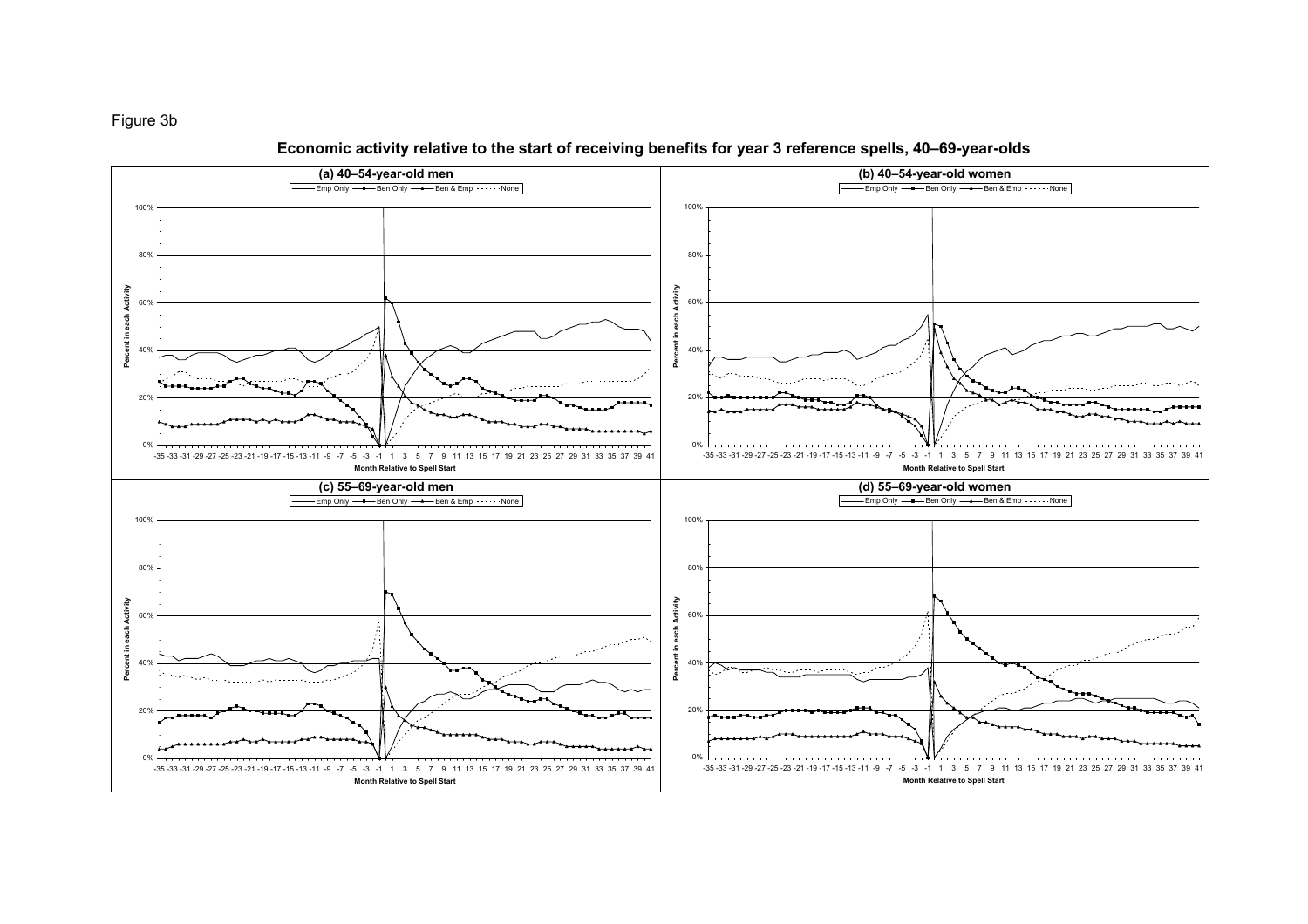



Economic activity relative to the start of receiving benefits for year 3 reference spells, 40–69-year-olds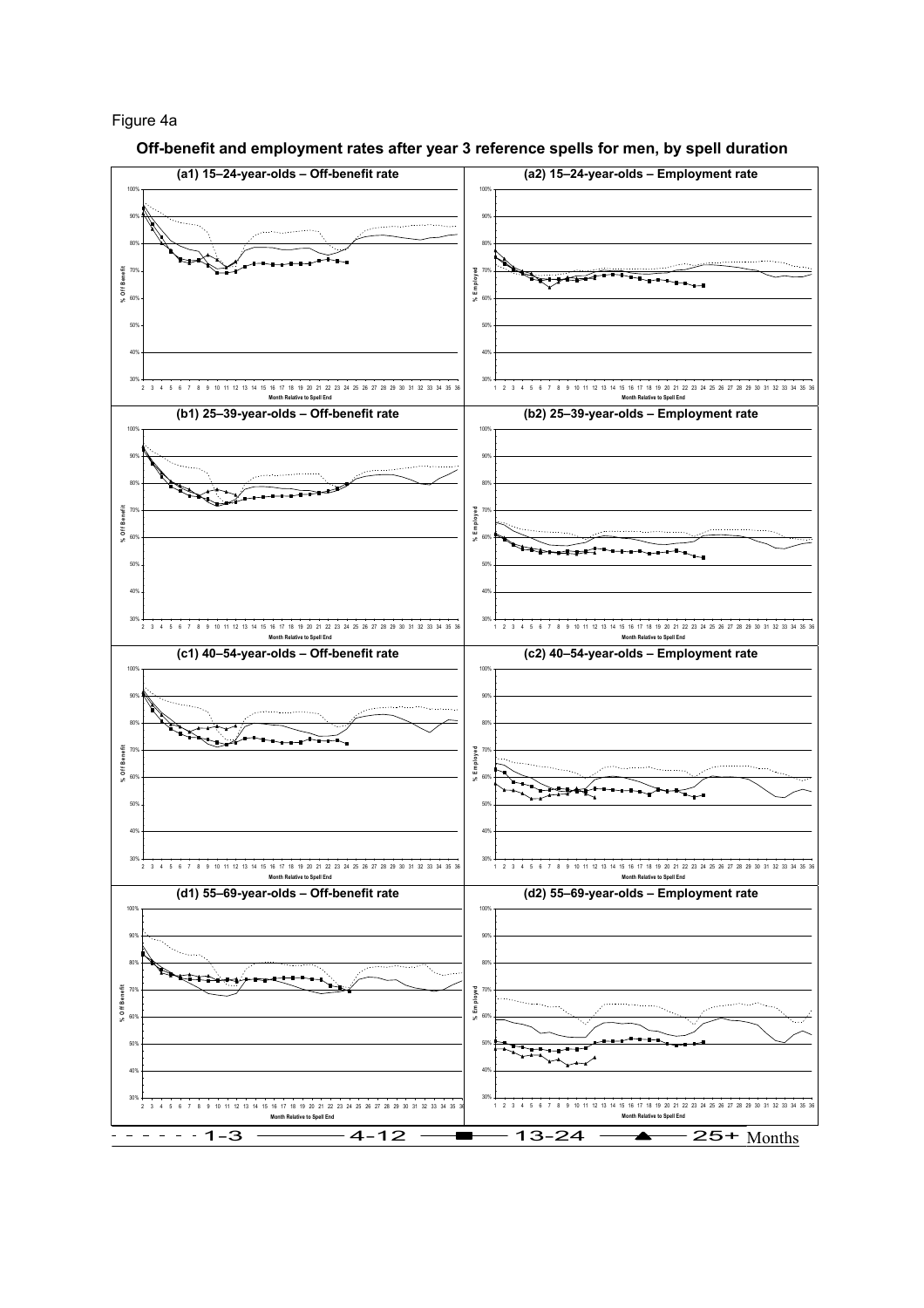#### Figure 4a



Off-benefit and employment rates after year 3 reference spells for men, by spell duration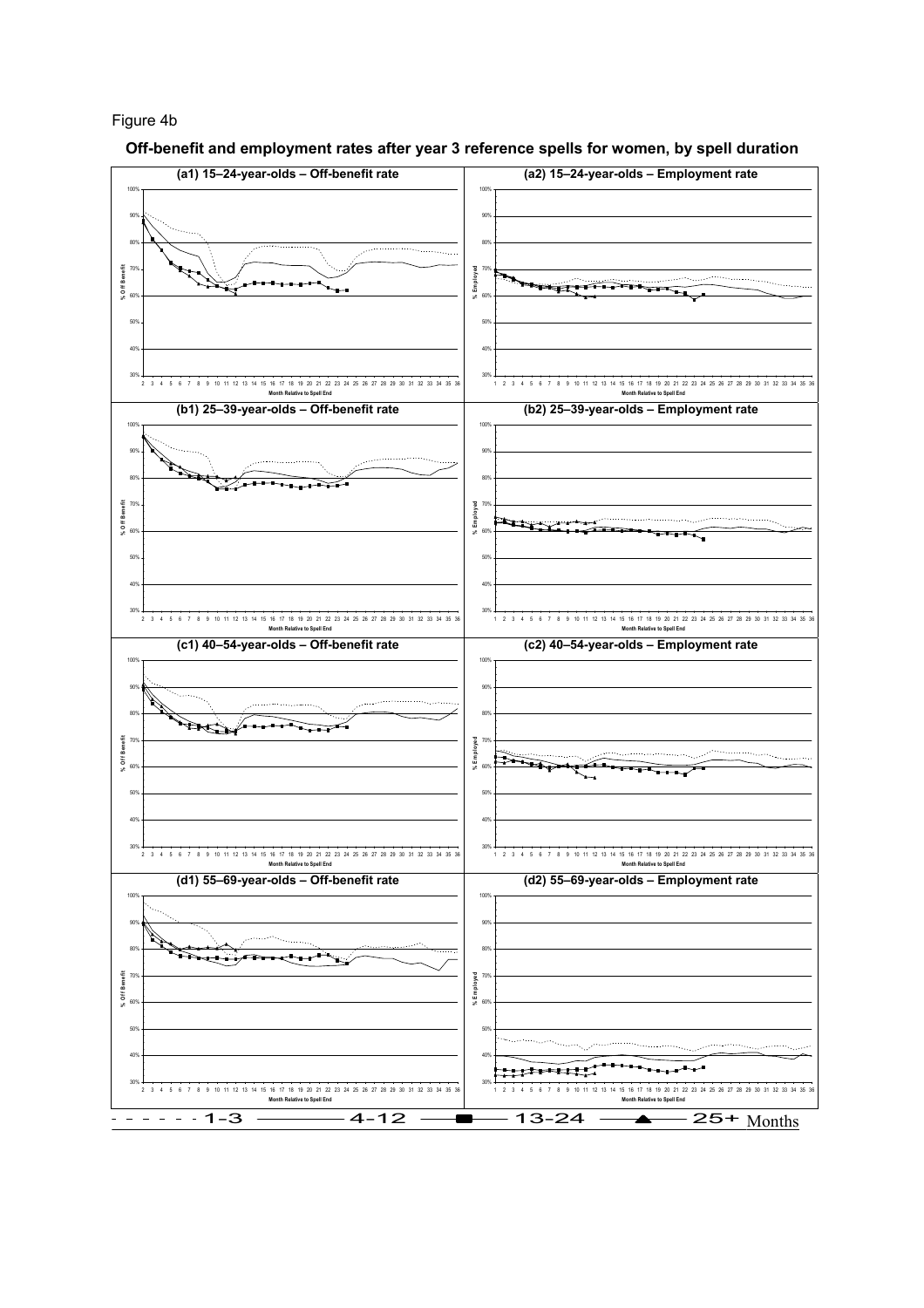## Figure 4b

Off-benefit and employment rates after year 3 reference spells for women, by spell duration

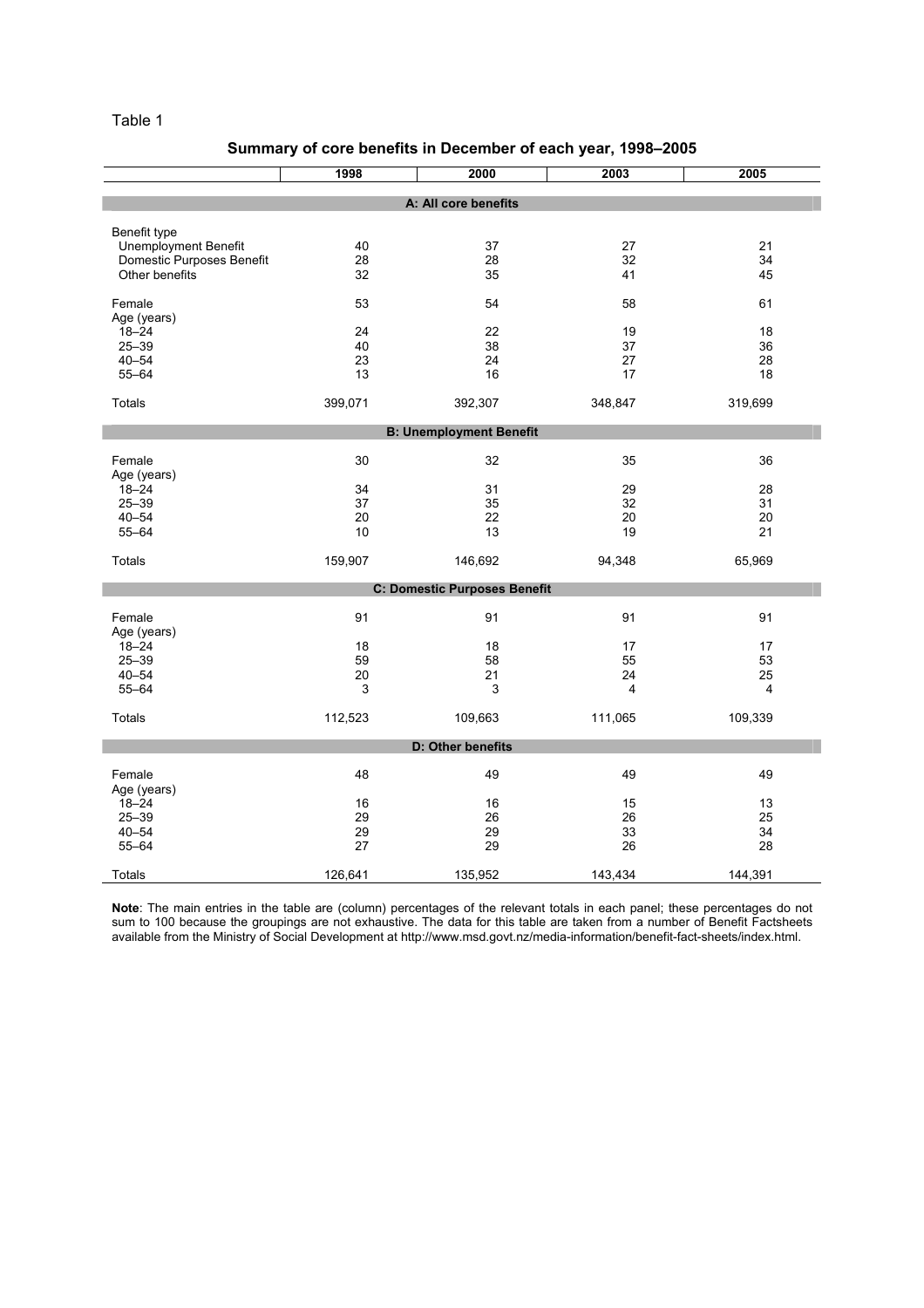# Summary of core benefits in December of each year, 1998–2005

| A: All core benefits<br>Benefit type<br>40<br>37<br>27<br>21<br><b>Unemployment Benefit</b><br>28<br>Domestic Purposes Benefit<br>28<br>32<br>34<br>32<br>Other benefits<br>35<br>45<br>41<br>53<br>54<br>58<br>61<br>Female<br>Age (years) |
|---------------------------------------------------------------------------------------------------------------------------------------------------------------------------------------------------------------------------------------------|
|                                                                                                                                                                                                                                             |
|                                                                                                                                                                                                                                             |
|                                                                                                                                                                                                                                             |
|                                                                                                                                                                                                                                             |
|                                                                                                                                                                                                                                             |
|                                                                                                                                                                                                                                             |
|                                                                                                                                                                                                                                             |
|                                                                                                                                                                                                                                             |
| $18 - 24$<br>24<br>22<br>19<br>18                                                                                                                                                                                                           |
| $25 - 39$<br>40<br>38<br>37<br>36                                                                                                                                                                                                           |
| $40 - 54$<br>23<br>24<br>27<br>28                                                                                                                                                                                                           |
| $55 - 64$<br>13<br>16<br>17<br>18                                                                                                                                                                                                           |
| Totals<br>399,071<br>392,307<br>348,847<br>319,699                                                                                                                                                                                          |
|                                                                                                                                                                                                                                             |
| <b>B: Unemployment Benefit</b>                                                                                                                                                                                                              |
| 30<br>32<br>35<br>36<br>Female                                                                                                                                                                                                              |
| Age (years)                                                                                                                                                                                                                                 |
| $18 - 24$<br>34<br>31<br>29<br>28                                                                                                                                                                                                           |
| $25 - 39$<br>37<br>35<br>32<br>31                                                                                                                                                                                                           |
| 22<br>$40 - 54$<br>20<br>20<br>20                                                                                                                                                                                                           |
| $55 - 64$<br>10<br>13<br>19<br>21                                                                                                                                                                                                           |
| 65,969<br><b>Totals</b><br>159,907<br>146,692<br>94,348                                                                                                                                                                                     |
| <b>C: Domestic Purposes Benefit</b>                                                                                                                                                                                                         |
|                                                                                                                                                                                                                                             |
| 91<br>91<br>91<br>91<br>Female                                                                                                                                                                                                              |
| Age (years)                                                                                                                                                                                                                                 |
| $18 - 24$<br>18<br>18<br>17<br>17                                                                                                                                                                                                           |
| $25 - 39$<br>59<br>58<br>55<br>53                                                                                                                                                                                                           |
| 25<br>$40 - 54$<br>20<br>21<br>24                                                                                                                                                                                                           |
| 3<br>$55 - 64$<br>3<br>4<br>4                                                                                                                                                                                                               |
| 112,523<br>109,663<br>111,065<br>109,339<br>Totals                                                                                                                                                                                          |
| D: Other benefits                                                                                                                                                                                                                           |
|                                                                                                                                                                                                                                             |
| Female<br>48<br>49<br>49<br>49                                                                                                                                                                                                              |
| Age (years)                                                                                                                                                                                                                                 |
| 16<br>15<br>13<br>$18 - 24$<br>16                                                                                                                                                                                                           |
| 29<br>$25 - 39$<br>26<br>26<br>25                                                                                                                                                                                                           |
| 29<br>34<br>$40 - 54$<br>29<br>33                                                                                                                                                                                                           |
| 27<br>29<br>28<br>$55 - 64$<br>26                                                                                                                                                                                                           |
| Totals<br>126,641<br>135,952<br>143,434<br>144,391                                                                                                                                                                                          |

Note: The main entries in the table are (column) percentages of the relevant totals in each panel; these percentages do not sum to 100 because the groupings are not exhaustive. The data for this table are taken from a number of Benefit Factsheets available from the Ministry of Social Development at http://www.msd.govt.nz/media-information/benefit-fact-sheets/index.html.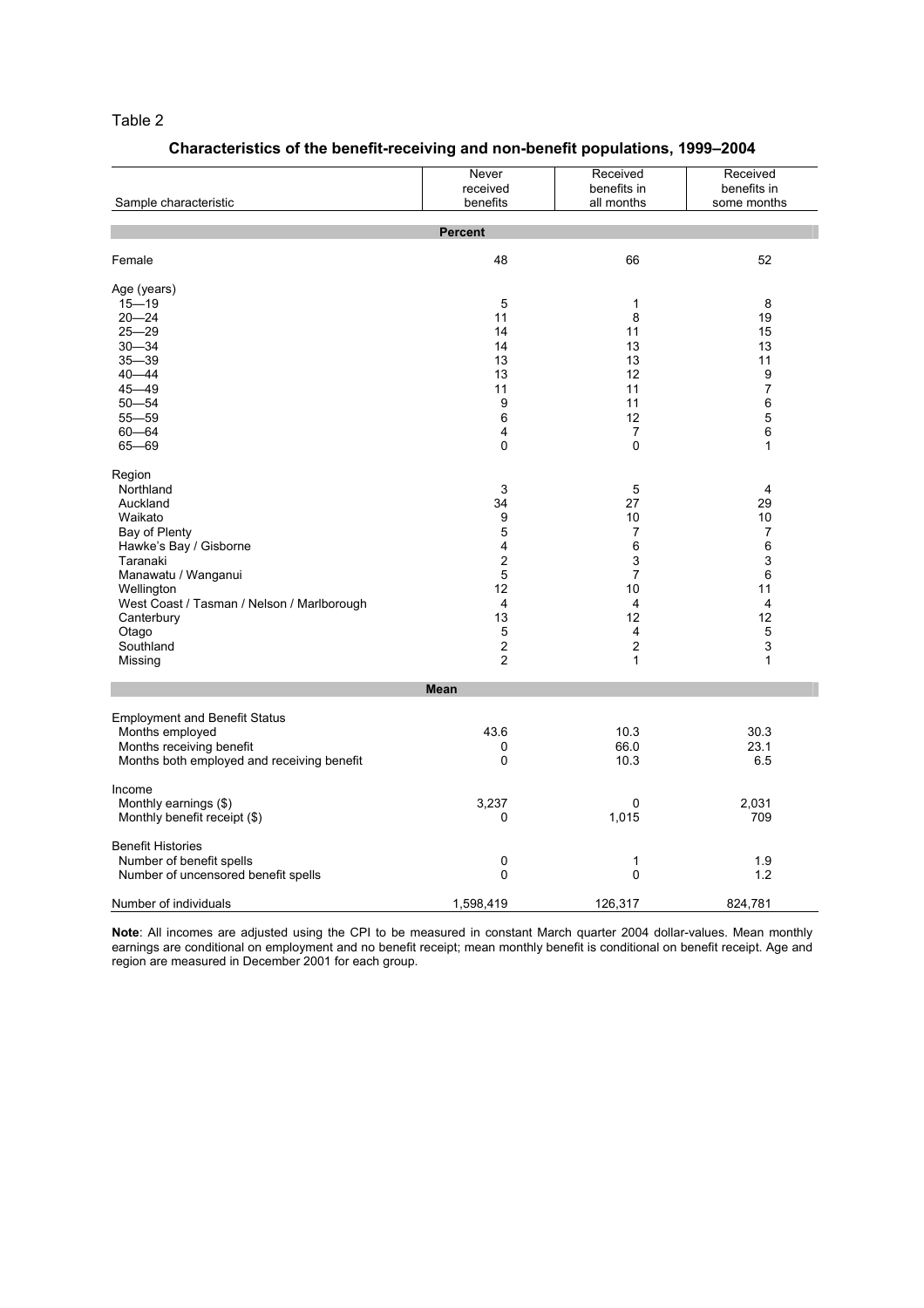# Characteristics of the benefit-receiving and non-benefit populations, 1999–2004

|                                            | Never<br>received       | Received<br>benefits in | Received<br>benefits in |
|--------------------------------------------|-------------------------|-------------------------|-------------------------|
| Sample characteristic                      | benefits                | all months              | some months             |
|                                            | <b>Percent</b>          |                         |                         |
| Female                                     | 48                      | 66                      | 52                      |
| Age (years)                                |                         |                         |                         |
| $15 - 19$                                  | 5                       | $\mathbf{1}$            | 8                       |
| $20 - 24$                                  | 11                      | 8                       | 19                      |
| $25 - 29$                                  | 14                      | 11                      | 15                      |
| $30 - 34$                                  | 14                      | 13                      | 13                      |
| $35 - 39$                                  | 13                      | 13                      | 11                      |
| $40 - 44$                                  | 13                      | 12                      | 9                       |
| $45 - 49$                                  | 11                      | 11                      | 7                       |
| $50 - 54$                                  | 9                       | 11                      | 6                       |
| $55 - 59$                                  | 6                       | 12                      | 5                       |
| $60 - 64$                                  | 4                       | 7                       | 6                       |
| $65 - 69$                                  | $\Omega$                | 0                       | 1                       |
| Region                                     |                         |                         |                         |
| Northland                                  | 3                       | $\mathbf 5$             | 4                       |
| Auckland                                   | 34                      | 27                      | 29                      |
| Waikato                                    | 9                       | 10                      | 10                      |
| Bay of Plenty                              | $\mathbf 5$             | 7                       | $\overline{7}$          |
| Hawke's Bay / Gisborne                     | 4                       | 6                       | 6                       |
| Taranaki                                   | $\overline{\mathbf{c}}$ | 3                       | 3                       |
| Manawatu / Wanganui                        | $\sqrt{5}$              | $\overline{7}$          | $\,6\,$                 |
| Wellington                                 | 12                      | 10                      | 11                      |
| West Coast / Tasman / Nelson / Marlborough | $\overline{4}$          | 4                       | $\overline{4}$          |
| Canterbury                                 | 13                      | 12                      | 12                      |
| Otago                                      | $\sqrt{5}$              | 4                       | $\overline{5}$          |
| Southland                                  | $\boldsymbol{2}$        | $\overline{\mathbf{c}}$ | 3                       |
| Missing                                    | $\overline{2}$          | 1                       | $\mathbf{1}$            |
|                                            | <b>Mean</b>             |                         |                         |
| <b>Employment and Benefit Status</b>       |                         |                         |                         |
| Months employed                            | 43.6                    | 10.3                    | 30.3                    |
| Months receiving benefit                   | 0                       | 66.0                    | 23.1                    |
| Months both employed and receiving benefit | 0                       | 10.3                    | 6.5                     |
| Income                                     |                         |                         |                         |
| Monthly earnings (\$)                      | 3,237                   | 0                       | 2,031                   |
| Monthly benefit receipt (\$)               | 0                       | 1,015                   | 709                     |
| <b>Benefit Histories</b>                   |                         |                         |                         |
| Number of benefit spells                   | 0                       | 1                       | 1.9                     |
| Number of uncensored benefit spells        | 0                       | 0                       | 1.2                     |
| Number of individuals                      | 1,598,419               | 126,317                 | 824,781                 |

Note: All incomes are adjusted using the CPI to be measured in constant March quarter 2004 dollar-values. Mean monthly earnings are conditional on employment and no benefit receipt; mean monthly benefit is conditional on benefit receipt. Age and region are measured in December 2001 for each group.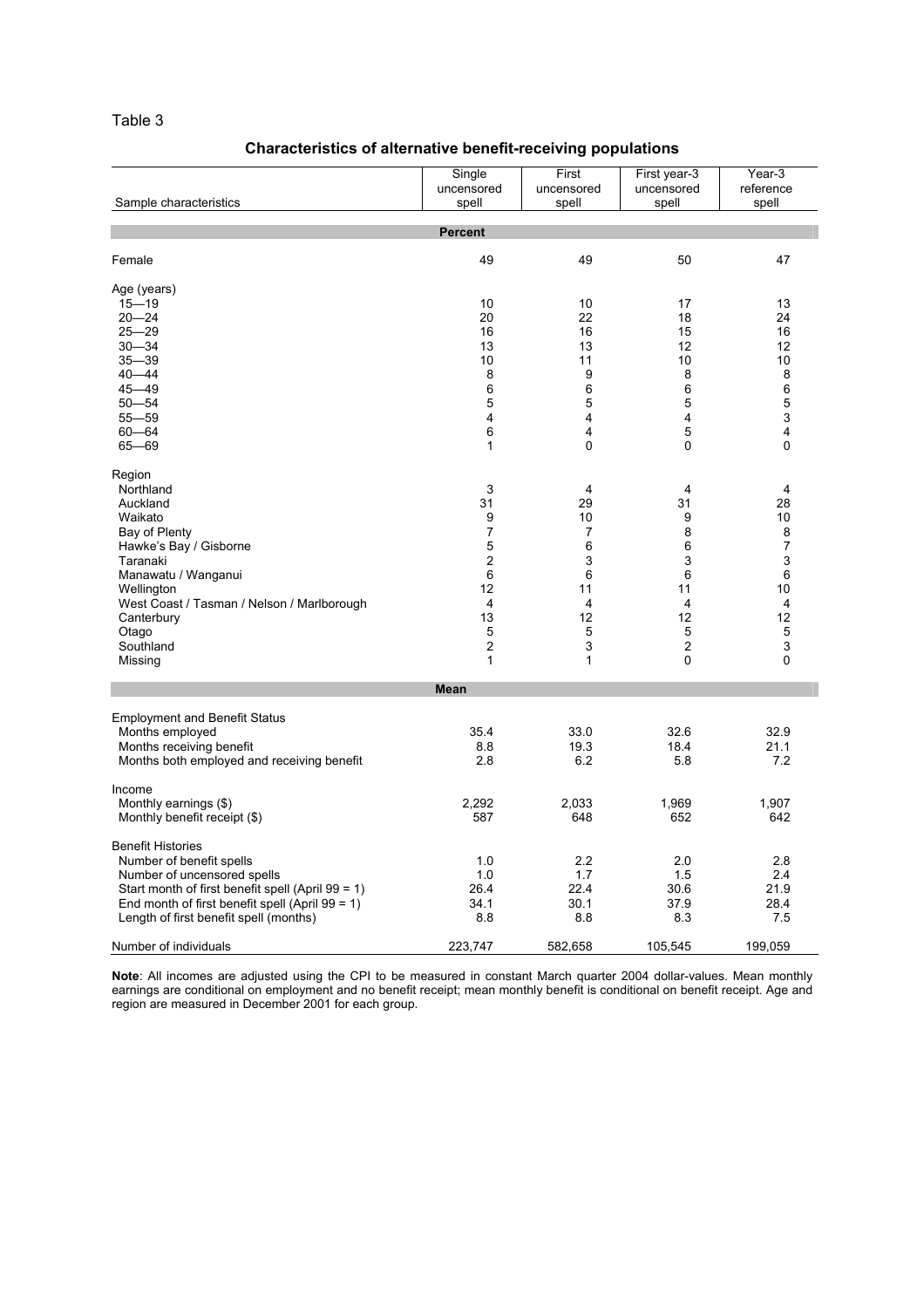# Characteristics of alternative benefit-receiving populations

| Sample characteristics                                                                                                                                                                                                                                            | Single<br>uncensored<br>spell                                                                                                   | First<br>uncensored<br>spell                                                 | First year-3<br>uncensored<br>spell                                           | Year-3<br>reference<br>spell                                                                |
|-------------------------------------------------------------------------------------------------------------------------------------------------------------------------------------------------------------------------------------------------------------------|---------------------------------------------------------------------------------------------------------------------------------|------------------------------------------------------------------------------|-------------------------------------------------------------------------------|---------------------------------------------------------------------------------------------|
|                                                                                                                                                                                                                                                                   | <b>Percent</b>                                                                                                                  |                                                                              |                                                                               |                                                                                             |
| Female                                                                                                                                                                                                                                                            | 49                                                                                                                              | 49                                                                           | 50                                                                            | 47                                                                                          |
| Age (years)<br>$15 - 19$<br>$20 - 24$<br>$25 - 29$<br>$30 - 34$<br>$35 - 39$<br>$40 - 44$<br>$45 - 49$<br>$50 - 54$<br>$55 - 59$<br>$60 - 64$<br>$65 - 69$                                                                                                        | 10<br>20<br>16<br>13<br>10<br>8<br>6<br>5<br>4<br>6<br>$\mathbf{1}$                                                             | 10<br>22<br>16<br>13<br>11<br>9<br>6<br>5<br>4<br>4<br>0                     | 17<br>18<br>15<br>12<br>10<br>8<br>6<br>5<br>4<br>5<br>0                      | 13<br>24<br>16<br>12<br>10<br>8<br>6<br>5<br>3<br>4<br>0                                    |
| Region<br>Northland<br>Auckland<br>Waikato<br>Bay of Plenty<br>Hawke's Bay / Gisborne<br>Taranaki<br>Manawatu / Wanganui<br>Wellington<br>West Coast / Tasman / Nelson / Marlborough<br>Canterbury<br>Otago<br>Southland<br>Missing                               | 3<br>31<br>9<br>$\overline{7}$<br>5<br>$\overline{c}$<br>6<br>12<br>$\overline{4}$<br>13<br>5<br>$\overline{c}$<br>$\mathbf{1}$ | 4<br>29<br>10<br>7<br>6<br>3<br>6<br>11<br>4<br>12<br>5<br>3<br>$\mathbf{1}$ | 4<br>31<br>9<br>8<br>6<br>3<br>6<br>11<br>4<br>12<br>5<br>$\overline{c}$<br>0 | $\overline{4}$<br>28<br>10<br>8<br>$\overline{7}$<br>3<br>6<br>10<br>4<br>12<br>5<br>3<br>0 |
|                                                                                                                                                                                                                                                                   | <b>Mean</b>                                                                                                                     |                                                                              |                                                                               |                                                                                             |
| <b>Employment and Benefit Status</b><br>Months employed<br>Months receiving benefit<br>Months both employed and receiving benefit                                                                                                                                 | 35.4<br>8.8<br>2.8                                                                                                              | 33.0<br>19.3<br>6.2                                                          | 32.6<br>18.4<br>5.8                                                           | 32.9<br>21.1<br>7.2                                                                         |
| Income<br>Monthly earnings (\$)<br>Monthly benefit receipt (\$)                                                                                                                                                                                                   | 2,292<br>587                                                                                                                    | 2,033<br>648                                                                 | 1,969<br>652                                                                  | 1,907<br>642                                                                                |
| <b>Benefit Histories</b><br>Number of benefit spells<br>Number of uncensored spells<br>Start month of first benefit spell (April 99 = 1)<br>End month of first benefit spell (April $99 = 1$ )<br>Length of first benefit spell (months)<br>Number of individuals | 1.0<br>1.0<br>26.4<br>34.1<br>8.8<br>223,747                                                                                    | 2.2<br>1.7<br>22.4<br>30.1<br>8.8<br>582,658                                 | 2.0<br>1.5<br>30.6<br>37.9<br>8.3<br>105,545                                  | 2.8<br>2.4<br>21.9<br>28.4<br>7.5<br>199,059                                                |

Note: All incomes are adjusted using the CPI to be measured in constant March quarter 2004 dollar-values. Mean monthly earnings are conditional on employment and no benefit receipt; mean monthly benefit is conditional on benefit receipt. Age and region are measured in December 2001 for each group.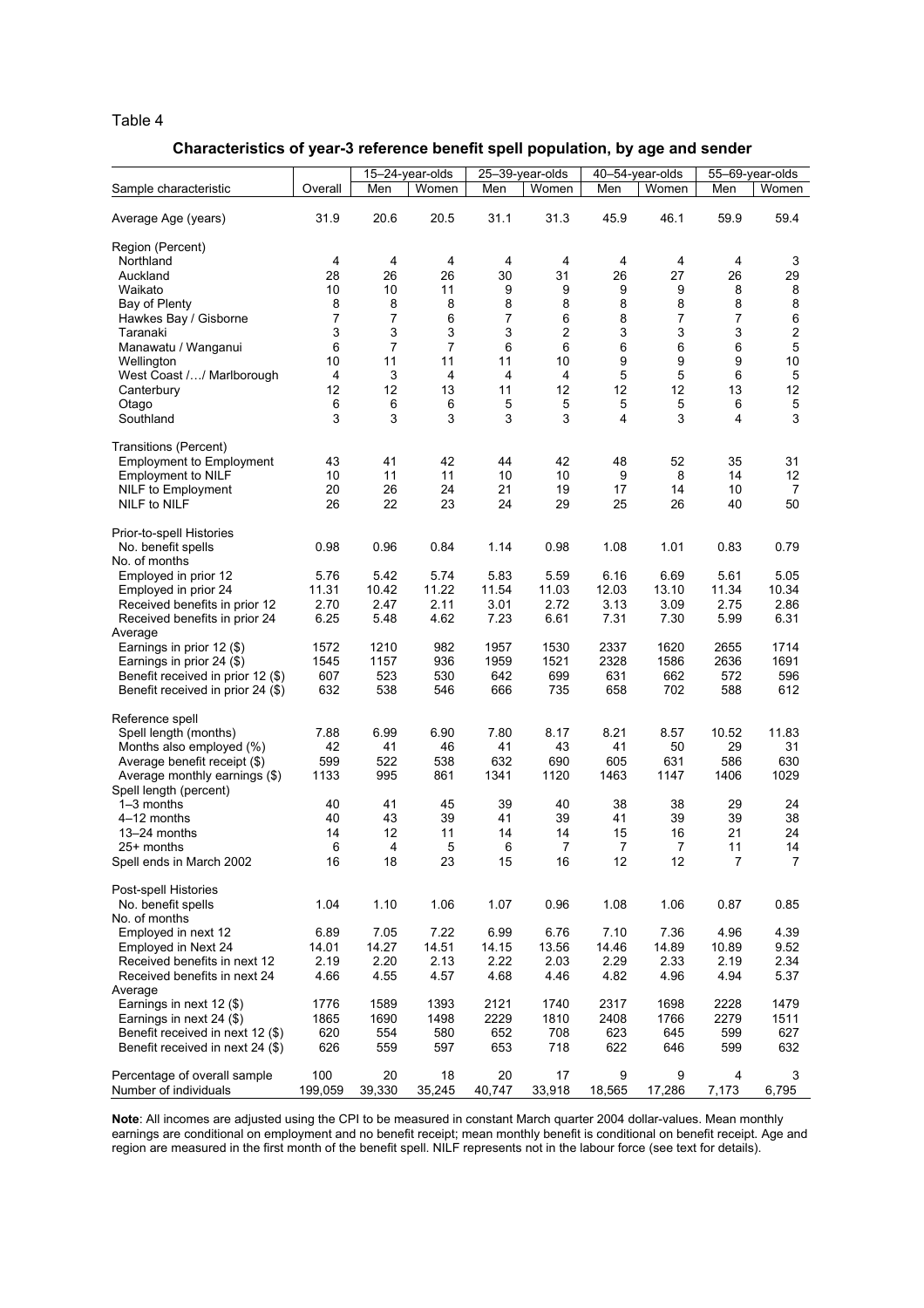# Characteristics of year-3 reference benefit spell population, by age and sender

|                                                              |               |               | 15-24-year-olds |               | 25-39-year-olds |               | 40-54-year-olds |                     | 55-69-year-olds     |
|--------------------------------------------------------------|---------------|---------------|-----------------|---------------|-----------------|---------------|-----------------|---------------------|---------------------|
| Sample characteristic                                        | Overall       | Men           | Women           | Men           | Women           | Men           | Women           | Men                 | Women               |
| Average Age (years)                                          | 31.9          | 20.6          | 20.5            | 31.1          | 31.3            | 45.9          | 46.1            | 59.9                | 59.4                |
| Region (Percent)                                             |               |               |                 |               |                 |               |                 |                     |                     |
| Northland                                                    | 4             | 4             | 4               | 4             | 4               | 4             | 4               | 4                   | 3                   |
| Auckland                                                     | 28            | 26            | 26              | 30            | 31              | 26            | 27              | 26                  | 29                  |
| Waikato                                                      | 10            | 10            | 11              | 9             | 9               | 9             | 9               | 8                   | 8                   |
| Bay of Plenty                                                | 8             | 8             | 8               | 8             | 8               | 8             | 8               | 8                   | 8                   |
| Hawkes Bay / Gisborne                                        | 7             | 7             | 6               | 7             | 6<br>2          | 8<br>3        | 7               | $\overline{7}$<br>3 | 6<br>$\overline{c}$ |
| Taranaki<br>Manawatu / Wanganui                              | 3<br>6        | 3<br>7        | 3<br>7          | 3<br>6        | 6               | 6             | 3<br>6          | 6                   | $\mathbf 5$         |
| Wellington                                                   | 10            | 11            | 11              | 11            | 10              | 9             | 9               | 9                   | 10                  |
| West Coast // Marlborough                                    | 4             | 3             | 4               | 4             | 4               | 5             | 5               | 6                   | $\mathbf 5$         |
| Canterbury                                                   | 12            | 12            | 13              | 11            | 12              | 12            | 12              | 13                  | 12                  |
| Otago                                                        | 6             | 6             | 6               | 5             | 5               | 5             | 5               | 6                   | $\mathbf 5$         |
| Southland                                                    | 3             | 3             | 3               | 3             | 3               | 4             | 3               | 4                   | 3                   |
| Transitions (Percent)                                        |               |               |                 |               |                 |               |                 |                     |                     |
| <b>Employment to Employment</b>                              | 43            | 41            | 42              | 44            | 42              | 48            | 52              | 35                  | 31                  |
| <b>Employment to NILF</b>                                    | 10            | 11            | 11              | 10            | 10              | 9             | 8               | 14                  | 12                  |
| NILF to Employment                                           | 20            | 26            | 24              | 21            | 19              | 17            | 14              | 10                  | 7                   |
| NILF to NILF                                                 | 26            | 22            | 23              | 24            | 29              | 25            | 26              | 40                  | 50                  |
| Prior-to-spell Histories                                     |               |               |                 |               |                 |               |                 |                     |                     |
| No. benefit spells                                           | 0.98          | 0.96          | 0.84            | 1.14          | 0.98            | 1.08          | 1.01            | 0.83                | 0.79                |
| No. of months                                                |               |               |                 |               |                 |               |                 |                     |                     |
| Employed in prior 12                                         | 5.76<br>11.31 | 5.42          | 5.74<br>11.22   | 5.83<br>11.54 | 5.59<br>11.03   | 6.16<br>12.03 | 6.69<br>13.10   | 5.61<br>11.34       | 5.05<br>10.34       |
| Employed in prior 24<br>Received benefits in prior 12        | 2.70          | 10.42<br>2.47 | 2.11            | 3.01          | 2.72            | 3.13          | 3.09            | 2.75                | 2.86                |
| Received benefits in prior 24                                | 6.25          | 5.48          | 4.62            | 7.23          | 6.61            | 7.31          | 7.30            | 5.99                | 6.31                |
| Average                                                      |               |               |                 |               |                 |               |                 |                     |                     |
| Earnings in prior 12 (\$)                                    | 1572          | 1210          | 982             | 1957          | 1530            | 2337          | 1620            | 2655                | 1714                |
| Earnings in prior 24 (\$)                                    | 1545          | 1157          | 936             | 1959          | 1521            | 2328          | 1586            | 2636                | 1691                |
| Benefit received in prior 12 (\$)                            | 607           | 523           | 530             | 642           | 699             | 631           | 662             | 572                 | 596                 |
| Benefit received in prior 24 (\$)                            | 632           | 538           | 546             | 666           | 735             | 658           | 702             | 588                 | 612                 |
| Reference spell                                              |               |               |                 |               |                 |               |                 |                     |                     |
| Spell length (months)                                        | 7.88          | 6.99          | 6.90            | 7.80          | 8.17            | 8.21          | 8.57            | 10.52               | 11.83               |
| Months also employed (%)                                     | 42            | 41            | 46              | 41            | 43              | 41            | 50              | 29                  | 31                  |
| Average benefit receipt (\$)                                 | 599           | 522           | 538             | 632           | 690             | 605           | 631             | 586                 | 630                 |
| Average monthly earnings (\$)                                | 1133          | 995           | 861             | 1341          | 1120            | 1463          | 1147            | 1406                | 1029                |
| Spell length (percent)<br>$1-3$ months                       | 40            | 41            | 45              | 39            | 40              | 38            | 38              | 29                  | 24                  |
| 4–12 months                                                  | 40            | 43            | 39              | 41            | 39              | 41            | 39              | 39                  | 38                  |
| 13-24 months                                                 | 14            | 12            | 11              | 14            | 14              | 15            | 16              | 21                  | 24                  |
| 25+ months                                                   | 6             | 4             | 5               | 6             | $\overline{7}$  | 7             | 7               | 11                  | 14                  |
| Spell ends in March 2002                                     | 16            | 18            | 23              | 15            | 16              | 12            | 12              | $\prime$            | 7                   |
| Post-spell Histories                                         |               |               |                 |               |                 |               |                 |                     |                     |
| No. benefit spells                                           | 1.04          | 1.10          | 1.06            | 1.07          | 0.96            | 1.08          | 1.06            | 0.87                | 0.85                |
| No. of months                                                |               |               |                 |               |                 |               |                 |                     |                     |
| Employed in next 12                                          | 6.89          | 7.05          | 7.22            | 6.99          | 6.76            | 7.10          | 7.36            | 4.96                | 4.39                |
| Employed in Next 24                                          | 14.01         | 14.27         | 14.51           | 14.15         | 13.56           | 14.46         | 14.89           | 10.89               | 9.52                |
| Received benefits in next 12                                 | 2.19          | 2.20          | 2.13            | 2.22          | 2.03            | 2.29          | 2.33            | 2.19                | 2.34                |
| Received benefits in next 24                                 | 4.66          | 4.55          | 4.57            | 4.68          | 4.46            | 4.82          | 4.96            | 4.94                | 5.37                |
| Average                                                      |               |               |                 |               |                 |               |                 |                     |                     |
| Earnings in next 12 (\$)                                     | 1776<br>1865  | 1589<br>1690  | 1393<br>1498    | 2121<br>2229  | 1740<br>1810    | 2317<br>2408  | 1698<br>1766    | 2228<br>2279        | 1479<br>1511        |
| Earnings in next 24 (\$)<br>Benefit received in next 12 (\$) | 620           | 554           | 580             | 652           | 708             | 623           | 645             | 599                 | 627                 |
| Benefit received in next 24 (\$)                             | 626           | 559           | 597             | 653           | 718             | 622           | 646             | 599                 | 632                 |
| Percentage of overall sample                                 | 100           | 20            | 18              | 20            | 17              | 9             | 9               | 4                   | 3                   |
| Number of individuals                                        | 199,059       | 39,330        | 35,245          | 40,747        | 33,918          | 18,565        | 17,286          | 7,173               | 6,795               |

Note: All incomes are adjusted using the CPI to be measured in constant March quarter 2004 dollar-values. Mean monthly earnings are conditional on employment and no benefit receipt; mean monthly benefit is conditional on benefit receipt. Age and region are measured in the first month of the benefit spell. NILF represents not in the labour force (see text for details).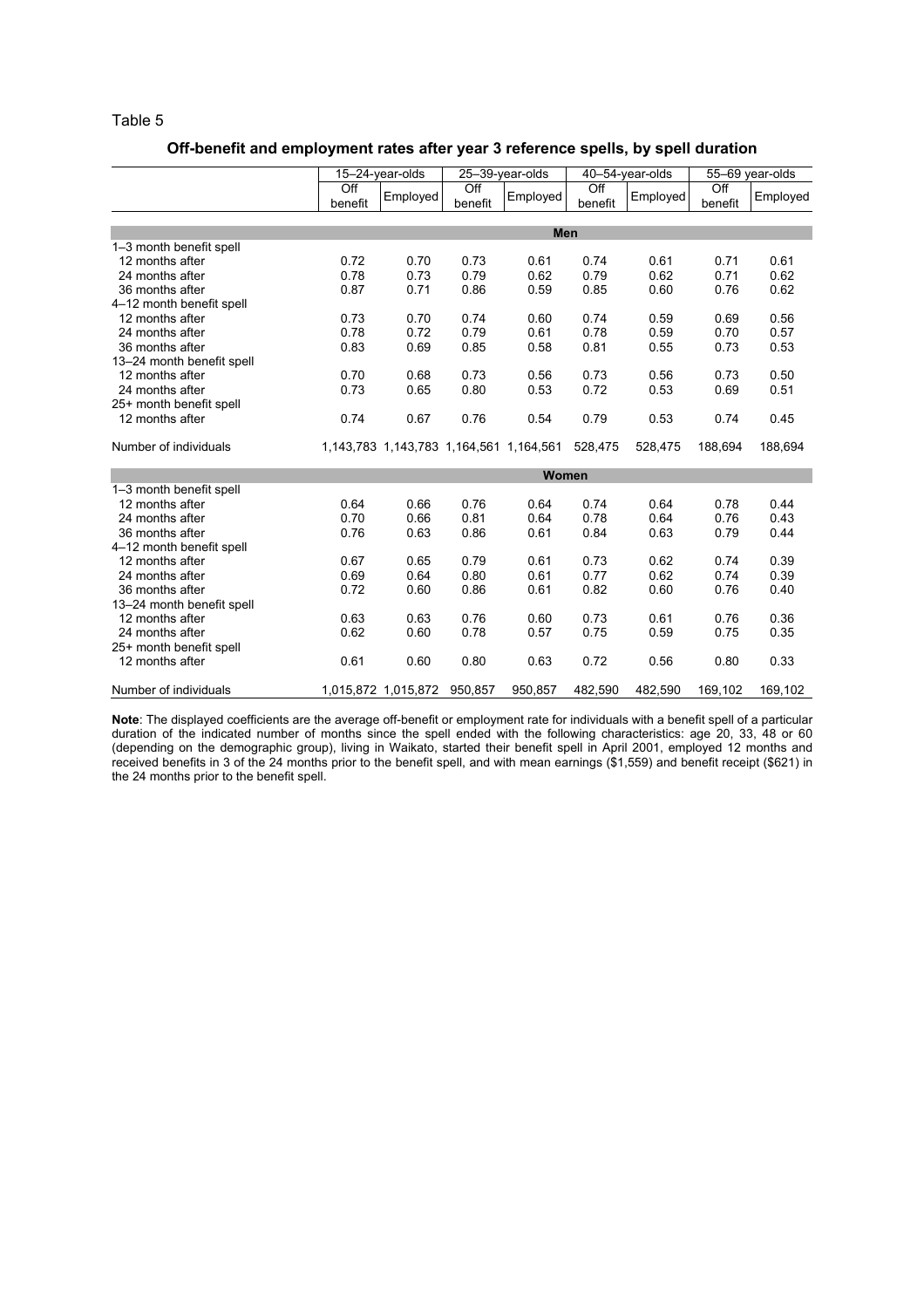## Off-benefit and employment rates after year 3 reference spells, by spell duration

|                           | 15-24-year-olds             |                             | 25-39-year-olds             |                                         | 40-54-year-olds             |          | 55-69 year-olds             |          |
|---------------------------|-----------------------------|-----------------------------|-----------------------------|-----------------------------------------|-----------------------------|----------|-----------------------------|----------|
|                           | $\overline{Off}$<br>benefit | Employed                    | $\overline{Off}$<br>benefit | Employed                                | $\overline{Off}$<br>benefit | Employed | $\overline{Off}$<br>benefit | Employed |
|                           |                             |                             |                             |                                         |                             |          |                             |          |
|                           |                             |                             |                             | <b>Men</b>                              |                             |          |                             |          |
| 1-3 month benefit spell   |                             |                             |                             |                                         |                             |          |                             |          |
| 12 months after           | 0.72                        | 0.70                        | 0.73                        | 0.61                                    | 0.74                        | 0.61     | 0.71                        | 0.61     |
| 24 months after           | 0.78                        | 0.73                        | 0.79                        | 0.62                                    | 0.79                        | 0.62     | 0.71                        | 0.62     |
| 36 months after           | 0.87                        | 0.71                        | 0.86                        | 0.59                                    | 0.85                        | 0.60     | 0.76                        | 0.62     |
| 4-12 month benefit spell  |                             |                             |                             |                                         |                             |          |                             |          |
| 12 months after           | 0.73                        | 0.70                        | 0.74                        | 0.60                                    | 0.74                        | 0.59     | 0.69                        | 0.56     |
| 24 months after           | 0.78                        | 0.72                        | 0.79                        | 0.61                                    | 0.78                        | 0.59     | 0.70                        | 0.57     |
| 36 months after           | 0.83                        | 0.69                        | 0.85                        | 0.58                                    | 0.81                        | 0.55     | 0.73                        | 0.53     |
| 13-24 month benefit spell |                             |                             |                             |                                         |                             |          |                             |          |
| 12 months after           | 0.70                        | 0.68                        | 0.73                        | 0.56                                    | 0.73                        | 0.56     | 0.73                        | 0.50     |
| 24 months after           | 0.73                        | 0.65                        | 0.80                        | 0.53                                    | 0.72                        | 0.53     | 0.69                        | 0.51     |
| 25+ month benefit spell   |                             |                             |                             |                                         |                             |          |                             |          |
| 12 months after           | 0.74                        | 0.67                        | 0.76                        | 0.54                                    | 0.79                        | 0.53     | 0.74                        | 0.45     |
| Number of individuals     |                             |                             |                             | 1,143,783 1,143,783 1,164,561 1,164,561 | 528,475                     | 528,475  | 188.694                     | 188,694  |
|                           |                             |                             |                             | Women                                   |                             |          |                             |          |
| 1-3 month benefit spell   |                             |                             |                             |                                         |                             |          |                             |          |
| 12 months after           | 0.64                        | 0.66                        | 0.76                        | 0.64                                    | 0.74                        | 0.64     | 0.78                        | 0.44     |
| 24 months after           | 0.70                        | 0.66                        | 0.81                        | 0.64                                    | 0.78                        | 0.64     | 0.76                        | 0.43     |
| 36 months after           | 0.76                        | 0.63                        | 0.86                        | 0.61                                    | 0.84                        | 0.63     | 0.79                        | 0.44     |
| 4-12 month benefit spell  |                             |                             |                             |                                         |                             |          |                             |          |
| 12 months after           | 0.67                        | 0.65                        | 0.79                        | 0.61                                    | 0.73                        | 0.62     | 0.74                        | 0.39     |
| 24 months after           | 0.69                        | 0.64                        | 0.80                        | 0.61                                    | 0.77                        | 0.62     | 0.74                        | 0.39     |
| 36 months after           | 0.72                        | 0.60                        | 0.86                        | 0.61                                    | 0.82                        | 0.60     | 0.76                        | 0.40     |
| 13-24 month benefit spell |                             |                             |                             |                                         |                             |          |                             |          |
| 12 months after           | 0.63                        | 0.63                        | 0.76                        | 0.60                                    | 0.73                        | 0.61     | 0.76                        | 0.36     |
| 24 months after           | 0.62                        | 0.60                        | 0.78                        | 0.57                                    | 0.75                        | 0.59     | 0.75                        | 0.35     |
| 25+ month benefit spell   |                             |                             |                             |                                         |                             |          |                             |          |
| 12 months after           | 0.61                        | 0.60                        | 0.80                        | 0.63                                    | 0.72                        | 0.56     | 0.80                        | 0.33     |
| Number of individuals     |                             | 1,015,872 1,015,872 950,857 |                             | 950,857                                 | 482,590                     | 482,590  | 169,102                     | 169,102  |

Note: The displayed coefficients are the average off-benefit or employment rate for individuals with a benefit spell of a particular duration of the indicated number of months since the spell ended with the following characteristics: age 20, 33, 48 or 60 (depending on the demographic group), living in Waikato, started their benefit spell in April 2001, employed 12 months and received benefits in 3 of the 24 months prior to the benefit spell, and with mean earnings (\$1,559) and benefit receipt (\$621) in the 24 months prior to the benefit spell.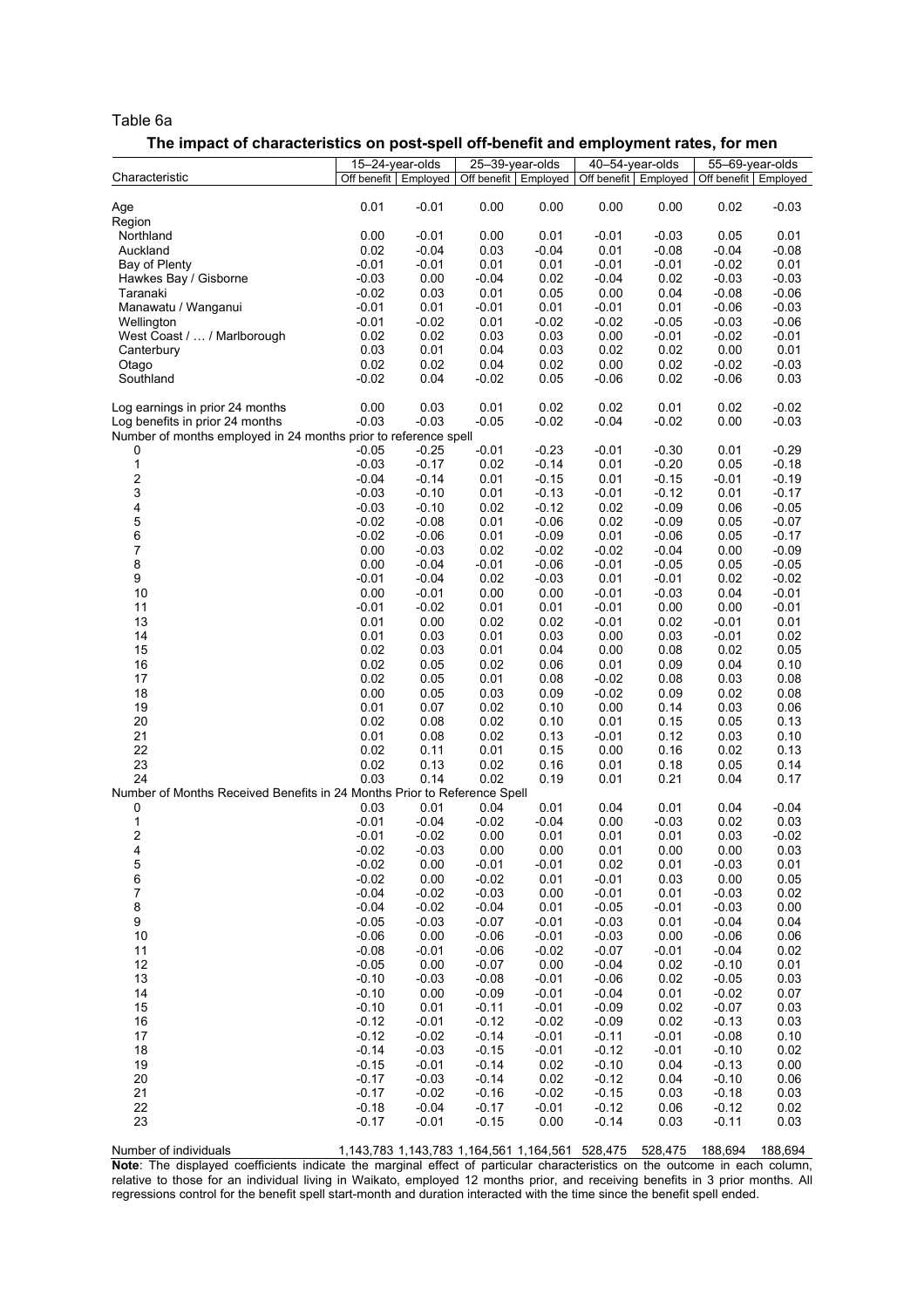#### Table 6a

#### The impact of characteristics on post-spell off-benefit and employment rates, for men

|                                                                          |                    | 15-24-year-olds      | 25-39-year-olds |                 | 40-54-year-olds    |                      | 55-69-year-olds      |                    |
|--------------------------------------------------------------------------|--------------------|----------------------|-----------------|-----------------|--------------------|----------------------|----------------------|--------------------|
| Characteristic                                                           |                    | Off benefit Employed | Off benefit     | Employed        |                    | Off benefit Employed | Off benefit Employed |                    |
| Age                                                                      | 0.01               | $-0.01$              | 0.00            | 0.00            | 0.00               | 0.00                 | 0.02                 | $-0.03$            |
| Region                                                                   |                    |                      |                 |                 |                    |                      |                      |                    |
| Northland                                                                | 0.00               | $-0.01$              | 0.00            | 0.01            | $-0.01$            | $-0.03$              | 0.05                 | 0.01               |
| Auckland                                                                 | 0.02               | $-0.04$              | 0.03            | $-0.04$         | 0.01               | $-0.08$              | $-0.04$              | $-0.08$            |
| Bay of Plenty                                                            | $-0.01$            | $-0.01$              | 0.01            | 0.01            | $-0.01$            | $-0.01$              | $-0.02$              | 0.01               |
| Hawkes Bay / Gisborne                                                    | $-0.03$            | 0.00                 | $-0.04$         | 0.02            | $-0.04$            | 0.02                 | $-0.03$              | $-0.03$            |
| Taranaki                                                                 | $-0.02$            | 0.03                 | 0.01            | 0.05            | 0.00               | 0.04                 | $-0.08$              | $-0.06$            |
| Manawatu / Wanganui                                                      | $-0.01$            | 0.01                 | $-0.01$         | 0.01            | $-0.01$            | 0.01                 | $-0.06$              | $-0.03$            |
| Wellington                                                               | $-0.01$            | $-0.02$              | 0.01            | $-0.02$         | $-0.02$            | $-0.05$              | $-0.03$              | $-0.06$            |
| West Coast /  / Marlborough                                              | 0.02<br>0.03       | 0.02                 | 0.03            | 0.03            | 0.00               | $-0.01$              | $-0.02$<br>0.00      | $-0.01$            |
| Canterbury                                                               | 0.02               | 0.01<br>0.02         | 0.04<br>0.04    | 0.03<br>0.02    | 0.02<br>0.00       | 0.02<br>0.02         | $-0.02$              | 0.01<br>$-0.03$    |
| Otago<br>Southland                                                       | $-0.02$            | 0.04                 | $-0.02$         | 0.05            | $-0.06$            | 0.02                 | $-0.06$              | 0.03               |
|                                                                          |                    |                      |                 |                 |                    |                      |                      |                    |
| Log earnings in prior 24 months                                          | 0.00               | 0.03                 | 0.01            | 0.02            | 0.02               | 0.01                 | 0.02                 | $-0.02$            |
| Log benefits in prior 24 months                                          | $-0.03$            | $-0.03$              | $-0.05$         | $-0.02$         | $-0.04$            | $-0.02$              | 0.00                 | $-0.03$            |
| Number of months employed in 24 months prior to reference spell          |                    |                      |                 |                 |                    |                      |                      |                    |
| 0                                                                        | $-0.05$            | $-0.25$              | $-0.01$         | $-0.23$         | $-0.01$            | $-0.30$              | 0.01                 | $-0.29$            |
| $\mathbf{1}$                                                             | $-0.03$            | $-0.17$              | 0.02            | $-0.14$         | 0.01               | $-0.20$              | 0.05                 | $-0.18$            |
| $\overline{\mathbf{c}}$                                                  | $-0.04$            | $-0.14$              | 0.01            | $-0.15$         | 0.01               | $-0.15$              | -0.01                | $-0.19$            |
| 3                                                                        | $-0.03$            | $-0.10$              | 0.01            | $-0.13$         | $-0.01$            | $-0.12$              | 0.01                 | $-0.17$            |
| 4                                                                        | $-0.03$            | $-0.10$              | 0.02            | $-0.12$         | 0.02               | $-0.09$              | 0.06                 | $-0.05$            |
| 5                                                                        | $-0.02$            | $-0.08$              | 0.01            | $-0.06$         | 0.02               | $-0.09$              | 0.05                 | $-0.07$            |
| 6                                                                        | $-0.02$            | $-0.06$              | 0.01            | $-0.09$         | 0.01               | $-0.06$              | 0.05                 | $-0.17$            |
| $\overline{7}$                                                           | 0.00               | $-0.03$              | 0.02            | $-0.02$         | $-0.02$            | $-0.04$              | 0.00                 | $-0.09$            |
| 8                                                                        | 0.00               | $-0.04$              | $-0.01$         | $-0.06$         | $-0.01$            | $-0.05$              | 0.05                 | $-0.05$            |
| 9                                                                        | $-0.01$            | $-0.04$              | 0.02            | $-0.03$         | 0.01               | $-0.01$              | 0.02                 | $-0.02$            |
| 10<br>11                                                                 | 0.00<br>$-0.01$    | $-0.01$              | 0.00            | 0.00            | $-0.01$            | $-0.03$              | 0.04<br>0.00         | $-0.01$<br>$-0.01$ |
| 13                                                                       | 0.01               | $-0.02$<br>0.00      | 0.01<br>0.02    | 0.01<br>0.02    | $-0.01$<br>$-0.01$ | 0.00<br>0.02         | $-0.01$              | 0.01               |
| 14                                                                       | 0.01               | 0.03                 | 0.01            | 0.03            | 0.00               | 0.03                 | $-0.01$              | 0.02               |
| 15                                                                       | 0.02               | 0.03                 | 0.01            | 0.04            | 0.00               | 0.08                 | 0.02                 | 0.05               |
| 16                                                                       | 0.02               | 0.05                 | 0.02            | 0.06            | 0.01               | 0.09                 | 0.04                 | 0.10               |
| 17                                                                       | 0.02               | 0.05                 | 0.01            | 0.08            | $-0.02$            | 0.08                 | 0.03                 | 0.08               |
| 18                                                                       | 0.00               | 0.05                 | 0.03            | 0.09            | $-0.02$            | 0.09                 | 0.02                 | 0.08               |
| 19                                                                       | 0.01               | 0.07                 | 0.02            | 0.10            | 0.00               | 0.14                 | 0.03                 | 0.06               |
| 20                                                                       | 0.02               | 0.08                 | 0.02            | 0.10            | 0.01               | 0.15                 | 0.05                 | 0.13               |
| 21                                                                       | 0.01               | 0.08                 | 0.02            | 0.13            | $-0.01$            | 0.12                 | 0.03                 | 0.10               |
| 22                                                                       | 0.02               | 0.11                 | 0.01            | 0.15            | 0.00               | 0.16                 | 0.02                 | 0.13               |
| 23                                                                       | 0.02               | 0.13                 | 0.02            | 0.16            | 0.01               | 0.18                 | 0.05                 | 0.14               |
| 24                                                                       | 0.03               | 0.14                 | 0.02            | 0.19            | 0.01               | 0.21                 | 0.04                 | 0.17               |
| Number of Months Received Benefits in 24 Months Prior to Reference Spell |                    |                      |                 |                 |                    |                      |                      |                    |
| 0                                                                        | 0.03               | 0.01                 | 0.04            | 0.01            | 0.04               | 0.01                 | 0.04                 | $-0.04$            |
| 1                                                                        | $-0.01$            | $-0.04$              | $-0.02$         | $-0.04$         | 0.00               | $-0.03$              | 0.02                 | 0.03               |
| 2                                                                        | $-0.01$            | $-0.02$              | 0.00            | 0.01            | 0.01               | 0.01                 | 0.03                 | $-0.02$            |
| 4                                                                        | $-0.02$<br>$-0.02$ | $-0.03$<br>0.00      | 0.00<br>$-0.01$ | 0.00<br>$-0.01$ | 0.01<br>0.02       | 0.00<br>0.01         | 0.00<br>$-0.03$      | 0.03<br>0.01       |
| 5<br>6                                                                   | $-0.02$            | 0.00                 | $-0.02$         | 0.01            | $-0.01$            | 0.03                 | 0.00                 | 0.05               |
| $\boldsymbol{7}$                                                         | $-0.04$            | $-0.02$              | $-0.03$         | 0.00            | $-0.01$            | 0.01                 | $-0.03$              | 0.02               |
| 8                                                                        | $-0.04$            | $-0.02$              | $-0.04$         | 0.01            | $-0.05$            | $-0.01$              | $-0.03$              | 0.00               |
| 9                                                                        | $-0.05$            | $-0.03$              | $-0.07$         | $-0.01$         | $-0.03$            | 0.01                 | $-0.04$              | 0.04               |
| 10                                                                       | $-0.06$            | 0.00                 | $-0.06$         | $-0.01$         | $-0.03$            | 0.00                 | $-0.06$              | 0.06               |
| 11                                                                       | $-0.08$            | $-0.01$              | $-0.06$         | $-0.02$         | $-0.07$            | $-0.01$              | $-0.04$              | 0.02               |
| 12                                                                       | $-0.05$            | 0.00                 | $-0.07$         | 0.00            | $-0.04$            | 0.02                 | $-0.10$              | 0.01               |
| 13                                                                       | $-0.10$            | $-0.03$              | $-0.08$         | $-0.01$         | $-0.06$            | 0.02                 | $-0.05$              | 0.03               |
| 14                                                                       | $-0.10$            | 0.00                 | $-0.09$         | $-0.01$         | $-0.04$            | 0.01                 | $-0.02$              | 0.07               |
| 15                                                                       | $-0.10$            | 0.01                 | $-0.11$         | $-0.01$         | $-0.09$            | 0.02                 | $-0.07$              | 0.03               |
| 16                                                                       | $-0.12$            | $-0.01$              | $-0.12$         | $-0.02$         | $-0.09$            | 0.02                 | $-0.13$              | 0.03               |
| 17                                                                       | $-0.12$            | $-0.02$              | $-0.14$         | $-0.01$         | $-0.11$            | $-0.01$              | $-0.08$              | 0.10               |
| 18                                                                       | $-0.14$            | $-0.03$              | $-0.15$         | $-0.01$         | $-0.12$            | $-0.01$              | $-0.10$              | 0.02               |
| 19                                                                       | $-0.15$            | $-0.01$              | $-0.14$         | 0.02            | $-0.10$            | 0.04                 | $-0.13$              | 0.00               |
| 20                                                                       | $-0.17$            | $-0.03$              | $-0.14$         | 0.02            | $-0.12$            | 0.04                 | $-0.10$              | 0.06               |
| 21                                                                       | $-0.17$            | $-0.02$              | $-0.16$         | $-0.02$         | $-0.15$            | 0.03                 | $-0.18$              | 0.03               |
| 22                                                                       | $-0.18$            | $-0.04$              | $-0.17$         | $-0.01$         | $-0.12$            | 0.06                 | $-0.12$              | 0.02               |
| 23                                                                       | $-0.17$            | $-0.01$              | $-0.15$         | 0.00            | $-0.14$            | 0.03                 | $-0.11$              | 0.03               |

Number of individuals 1,143,783 1,143,783 1,164,561 1,164,561 528,475 528,475 188,694 188,694 Note: The displayed coefficients indicate the marginal effect of particular characteristics on the outcome in each column, relative to those for an individual living in Waikato, employed 12 months prior, and receiving benefits in 3 prior months. All regressions control for the benefit spell start-month and duration interacted with the time since the benefit spell ended.